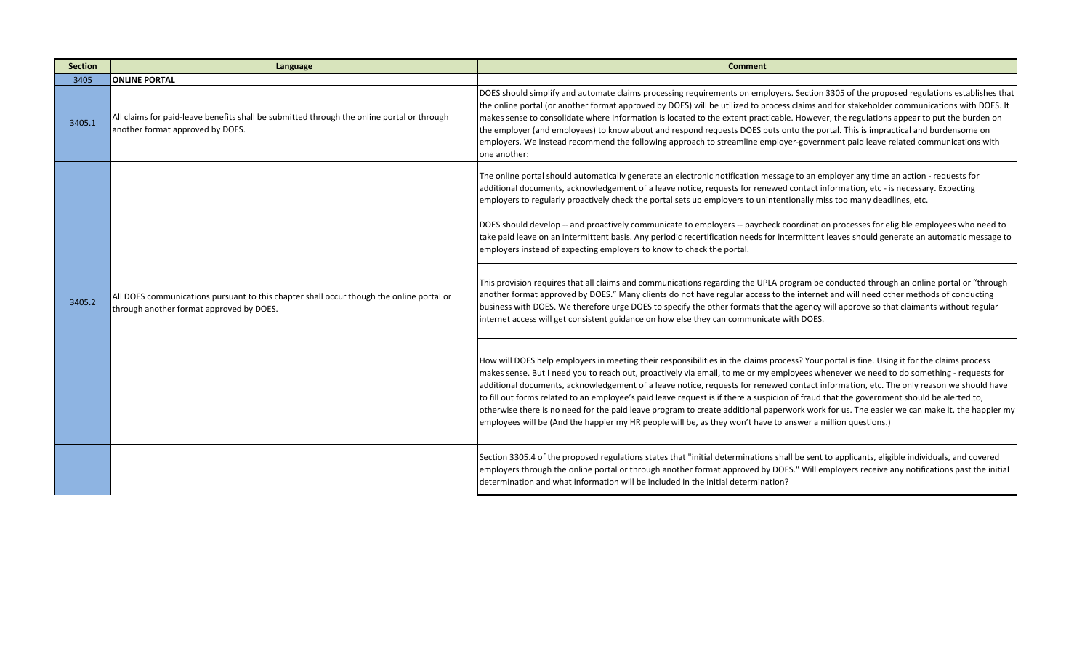| <b>Section</b> | Language                                                                                                                             | <b>Comment</b>                                                                                                                                                                                                                                                                                                                                                                                                                                                                                                                                                                                                                                                                                                                                                                                                                           |
|----------------|--------------------------------------------------------------------------------------------------------------------------------------|------------------------------------------------------------------------------------------------------------------------------------------------------------------------------------------------------------------------------------------------------------------------------------------------------------------------------------------------------------------------------------------------------------------------------------------------------------------------------------------------------------------------------------------------------------------------------------------------------------------------------------------------------------------------------------------------------------------------------------------------------------------------------------------------------------------------------------------|
| 3405           | <b>ONLINE PORTAL</b>                                                                                                                 |                                                                                                                                                                                                                                                                                                                                                                                                                                                                                                                                                                                                                                                                                                                                                                                                                                          |
| 3405.1         | All claims for paid-leave benefits shall be submitted through the online portal or through<br>another format approved by DOES.       | DOES should simplify and automate claims processing requirements on employers. Section 3305 of the proposed regulations establishes that<br>the online portal (or another format approved by DOES) will be utilized to process claims and for stakeholder communications with DOES. It<br>makes sense to consolidate where information is located to the extent practicable. However, the regulations appear to put the burden on<br>the employer (and employees) to know about and respond requests DOES puts onto the portal. This is impractical and burdensome on<br>employers. We instead recommend the following approach to streamline employer-government paid leave related communications with<br>one another:                                                                                                                 |
| 3405.2         | All DOES communications pursuant to this chapter shall occur though the online portal or<br>through another format approved by DOES. | The online portal should automatically generate an electronic notification message to an employer any time an action - requests for<br>additional documents, acknowledgement of a leave notice, requests for renewed contact information, etc - is necessary. Expecting<br>employers to regularly proactively check the portal sets up employers to unintentionally miss too many deadlines, etc.<br>DOES should develop -- and proactively communicate to employers -- paycheck coordination processes for eligible employees who need to<br>take paid leave on an intermittent basis. Any periodic recertification needs for intermittent leaves should generate an automatic message to<br>employers instead of expecting employers to know to check the portal.                                                                      |
|                |                                                                                                                                      | This provision requires that all claims and communications regarding the UPLA program be conducted through an online portal or "through<br>another format approved by DOES." Many clients do not have regular access to the internet and will need other methods of conducting<br>business with DOES. We therefore urge DOES to specify the other formats that the agency will approve so that claimants without regular<br>internet access will get consistent guidance on how else they can communicate with DOES.                                                                                                                                                                                                                                                                                                                     |
|                |                                                                                                                                      | How will DOES help employers in meeting their responsibilities in the claims process? Your portal is fine. Using it for the claims process<br>makes sense. But I need you to reach out, proactively via email, to me or my employees whenever we need to do something - requests for<br>additional documents, acknowledgement of a leave notice, requests for renewed contact information, etc. The only reason we should have<br>to fill out forms related to an employee's paid leave request is if there a suspicion of fraud that the government should be alerted to,<br>otherwise there is no need for the paid leave program to create additional paperwork work for us. The easier we can make it, the happier my<br>employees will be (And the happier my HR people will be, as they won't have to answer a million questions.) |
|                |                                                                                                                                      | Section 3305.4 of the proposed regulations states that "initial determinations shall be sent to applicants, eligible individuals, and covered<br>employers through the online portal or through another format approved by DOES." Will employers receive any notifications past the initial<br>determination and what information will be included in the initial determination?                                                                                                                                                                                                                                                                                                                                                                                                                                                         |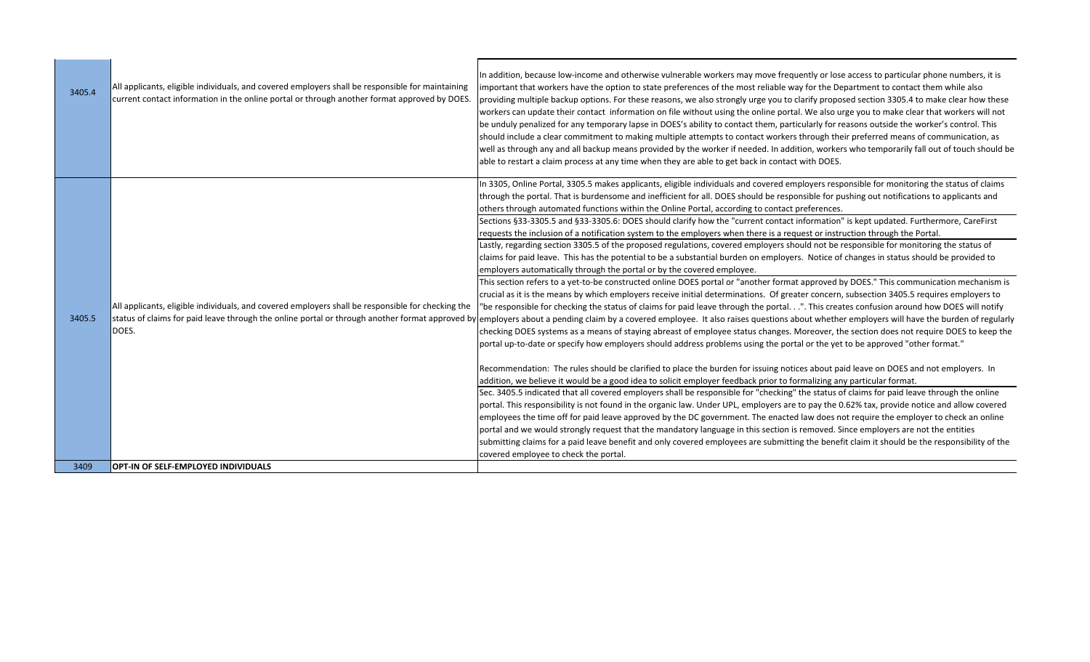| 3405.4 | All applicants, eligible individuals, and covered employers shall be responsible for maintaining<br>current contact information in the online portal or through another format approved by DOES. | In addition, because low-income and otherwise vulnerable workers may move frequently or lose access to particular phone numbers, it is<br>important that workers have the option to state preferences of the most reliable way for the Department to contact them while also<br>providing multiple backup options. For these reasons, we also strongly urge you to clarify proposed section 3305.4 to make clear how these<br>workers can update their contact information on file without using the online portal. We also urge you to make clear that workers will not<br>be unduly penalized for any temporary lapse in DOES's ability to contact them, particularly for reasons outside the worker's control. This<br>should include a clear commitment to making multiple attempts to contact workers through their preferred means of communication, as<br>well as through any and all backup means provided by the worker if needed. In addition, workers who temporarily fall out of touch should be<br>able to restart a claim process at any time when they are able to get back in contact with DOES.                                                                                                                                                                                                                                                                                                                                                                                                                                                                                                                                                                                                                                                                                                                                                                                                                                                                                                                                                                                                                                                                                                                                                                                                                                                                                                                                                                                                                                                                                                                                                                                                                                                                                                                                                                                                                                                                      |
|--------|--------------------------------------------------------------------------------------------------------------------------------------------------------------------------------------------------|---------------------------------------------------------------------------------------------------------------------------------------------------------------------------------------------------------------------------------------------------------------------------------------------------------------------------------------------------------------------------------------------------------------------------------------------------------------------------------------------------------------------------------------------------------------------------------------------------------------------------------------------------------------------------------------------------------------------------------------------------------------------------------------------------------------------------------------------------------------------------------------------------------------------------------------------------------------------------------------------------------------------------------------------------------------------------------------------------------------------------------------------------------------------------------------------------------------------------------------------------------------------------------------------------------------------------------------------------------------------------------------------------------------------------------------------------------------------------------------------------------------------------------------------------------------------------------------------------------------------------------------------------------------------------------------------------------------------------------------------------------------------------------------------------------------------------------------------------------------------------------------------------------------------------------------------------------------------------------------------------------------------------------------------------------------------------------------------------------------------------------------------------------------------------------------------------------------------------------------------------------------------------------------------------------------------------------------------------------------------------------------------------------------------------------------------------------------------------------------------------------------------------------------------------------------------------------------------------------------------------------------------------------------------------------------------------------------------------------------------------------------------------------------------------------------------------------------------------------------------------------------------------------------------------------------------------------------------------------------|
| 3405.5 | All applicants, eligible individuals, and covered employers shall be responsible for checking the<br>DOES.                                                                                       | In 3305, Online Portal, 3305.5 makes applicants, eligible individuals and covered employers responsible for monitoring the status of claims<br>through the portal. That is burdensome and inefficient for all. DOES should be responsible for pushing out notifications to applicants and<br>others through automated functions within the Online Portal, according to contact preferences.<br>Sections §33-3305.5 and §33-3305.6: DOES should clarify how the "current contact information" is kept updated. Furthermore, CareFirst<br>requests the inclusion of a notification system to the employers when there is a request or instruction through the Portal.<br>Lastly, regarding section 3305.5 of the proposed regulations, covered employers should not be responsible for monitoring the status of<br>claims for paid leave. This has the potential to be a substantial burden on employers. Notice of changes in status should be provided to<br>employers automatically through the portal or by the covered employee.<br>This section refers to a yet-to-be constructed online DOES portal or "another format approved by DOES." This communication mechanism is<br>crucial as it is the means by which employers receive initial determinations. Of greater concern, subsection 3405.5 requires employers to<br>"be responsible for checking the status of claims for paid leave through the portal.". This creates confusion around how DOES will notify<br>status of claims for paid leave through the online portal or through another format approved by employers about a pending claim by a covered employee. It also raises questions about whether employers will have the burden o<br>checking DOES systems as a means of staying abreast of employee status changes. Moreover, the section does not require DOES to keep the<br>portal up-to-date or specify how employers should address problems using the portal or the yet to be approved "other format."<br>Recommendation: The rules should be clarified to place the burden for issuing notices about paid leave on DOES and not employers. In<br>addition, we believe it would be a good idea to solicit employer feedback prior to formalizing any particular format.<br>Sec. 3405.5 indicated that all covered employers shall be responsible for "checking" the status of claims for paid leave through the online<br>portal. This responsibility is not found in the organic law. Under UPL, employers are to pay the 0.62% tax, provide notice and allow covered<br>employees the time off for paid leave approved by the DC government. The enacted law does not require the employer to check an online<br>portal and we would strongly request that the mandatory language in this section is removed. Since employers are not the entities<br>submitting claims for a paid leave benefit and only covered employees are submitting the benefit claim it should be the responsibility of the |
|        |                                                                                                                                                                                                  | covered employee to check the portal.                                                                                                                                                                                                                                                                                                                                                                                                                                                                                                                                                                                                                                                                                                                                                                                                                                                                                                                                                                                                                                                                                                                                                                                                                                                                                                                                                                                                                                                                                                                                                                                                                                                                                                                                                                                                                                                                                                                                                                                                                                                                                                                                                                                                                                                                                                                                                                                                                                                                                                                                                                                                                                                                                                                                                                                                                                                                                                                                                 |
| 3409   | <b>OPT-IN OF SELF-EMPLOYED INDIVIDUALS</b>                                                                                                                                                       |                                                                                                                                                                                                                                                                                                                                                                                                                                                                                                                                                                                                                                                                                                                                                                                                                                                                                                                                                                                                                                                                                                                                                                                                                                                                                                                                                                                                                                                                                                                                                                                                                                                                                                                                                                                                                                                                                                                                                                                                                                                                                                                                                                                                                                                                                                                                                                                                                                                                                                                                                                                                                                                                                                                                                                                                                                                                                                                                                                                       |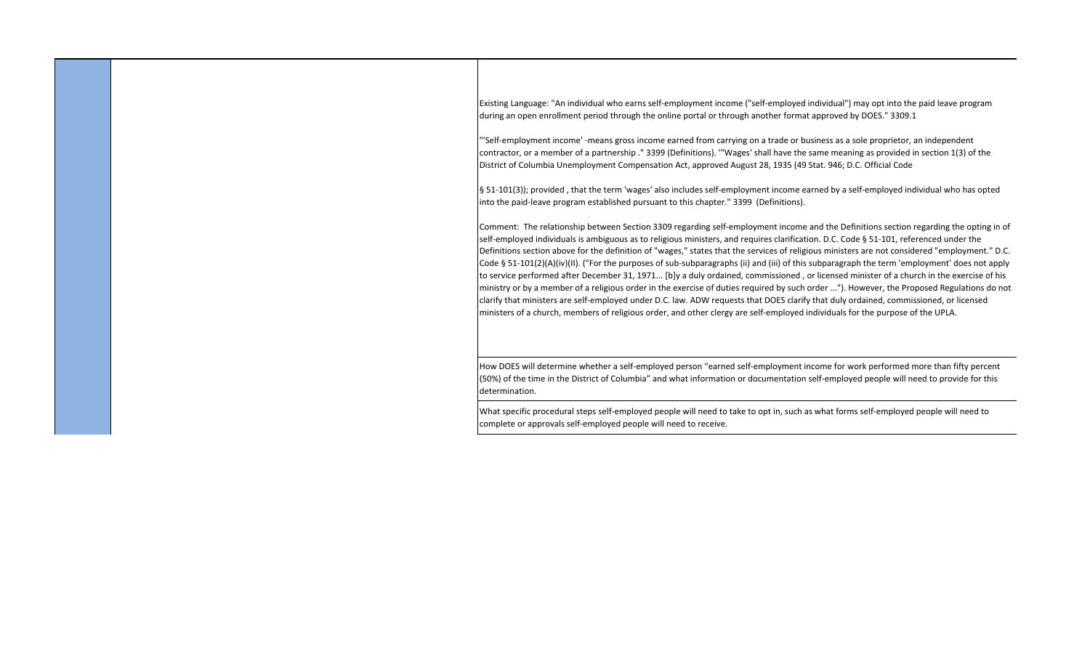Existing Language: "An individual who earns self‐employment income ("self‐employed individual") may opt into the paid leave program during an open enrollment period through the online portal or through another format approved by DOES." 3309.1

"'Self‐employment income' ‐means gross income earned from carrying on a trade or business as a sole proprietor, an independent contractor, or a member of a partnership ." 3399 (Definitions). '"Wages' shall have the same meaning as provided in section 1(3) of the District of Columbia Unemployment Compensation Act, approved August 28, 1935 (49 Stat. 946; D.C. Official Code

§ 51-101(3)); provided, that the term 'wages' also includes self-employment income earned by a self-employed individual who has opted into the paid-leave program established pursuant to this chapter." 3399 (Definitions).

Comment: The relationship between Section 3309 regarding self‐employment income and the Definitions section regarding the opting in of self-employed individuals is ambiguous as to religious ministers, and requires clarification. D.C. Code § 51-101, referenced under the Definitions section above for the definition of "wages," states that the services of religious ministers are not considered "employment." D.C. Code § 51‐101(2)(A)(iv)(II). ("For the purposes of sub‐subparagraphs (ii) and (iii) of this subparagraph the term 'employment' does not apply to service performed after December 31, 1971... [b]y a duly ordained, commissioned , or licensed minister of a church in the exercise of his ministry or by a member of a religious order in the exercise of duties required by such order ..."). However, the Proposed Regulations do not clarify that ministers are self‐employed under D.C. law. ADW requests that DOES clarify that duly ordained, commissioned, or licensed ministers of a church, members of religious order, and other clergy are self‐employed individuals for the purpose of the UPLA.

How DOES will determine whether a self-employed person "earned self-employment income for work performed more than fifty percent (50%) of the time in the District of Columbia" and what information or documentation self‐employed people will need to provide for this determination.

What specific procedural steps self-employed people will need to take to opt in, such as what forms self-employed people will need to complete or approvals self‐employed people will need to receive.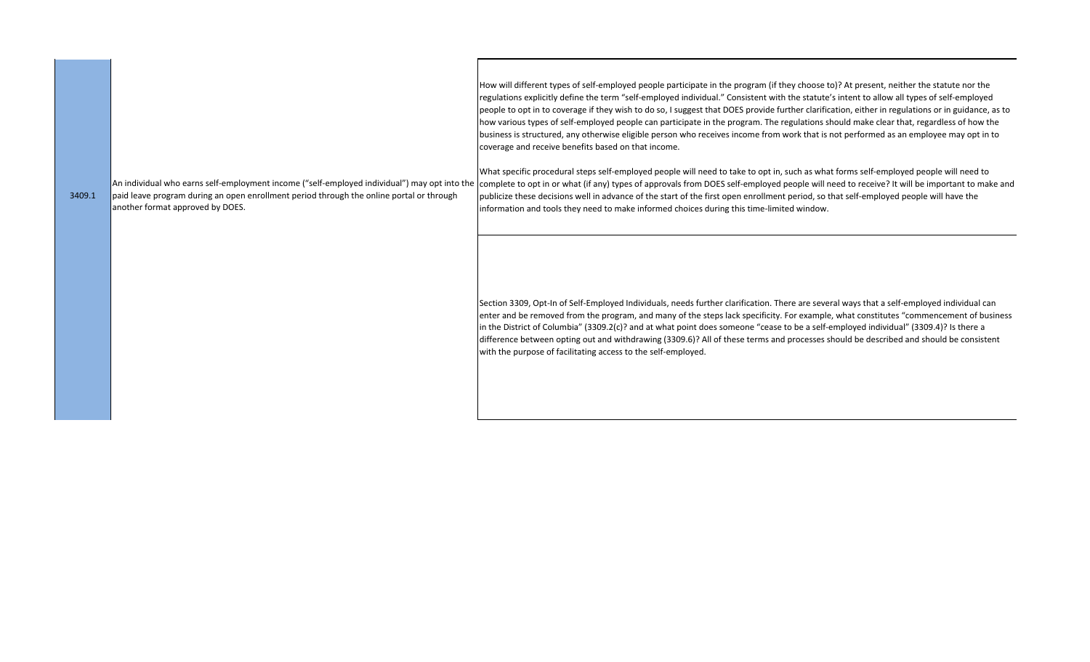How will different types of self-employed people participate in the program (if they choose to)? At present, neither the statute nor the regulations explicitly define the term "self‐employed individual." Consistent with the statute's intent to allow all types of self‐employed people to opt in to coverage if they wish to do so, I suggest that DOES provide further clarification, either in regulations or in guidance, as to how various types of self-employed people can participate in the program. The regulations should make clear that, regardless of how the business is structured, any otherwise eligible person who receives income from work that is not performed as an employee may opt in to coverage and receive benefits based on that income. What specific procedural steps self-employed people will need to take to opt in, such as what forms self-employed people will need to An individual who earns self-employment income ("self-employed individual") may opt into the complete to opt in or what (if any) types of approvals from DOES self-employed people will need to receive? It will be important publicize these decisions well in advance of the start of the first open enrollment period, so that self‐employed people will have the information and tools they need to make informed choices during this time-limited window. 3409.1 paid leave program during an open enrollment period through the online portal or through another format approved by DOES.

> Section 3309, Opt‐In of Self‐Employed Individuals, needs further clarification. There are several ways that a self‐employed individual can enter and be removed from the program, and many of the steps lack specificity. For example, what constitutes "commencement of business in the District of Columbia" (3309.2(c)? and at what point does someone "cease to be a self‐employed individual" (3309.4)? Is there a difference between opting out and withdrawing (3309.6)? All of these terms and processes should be described and should be consistent with the purpose of facilitating access to the self-employed.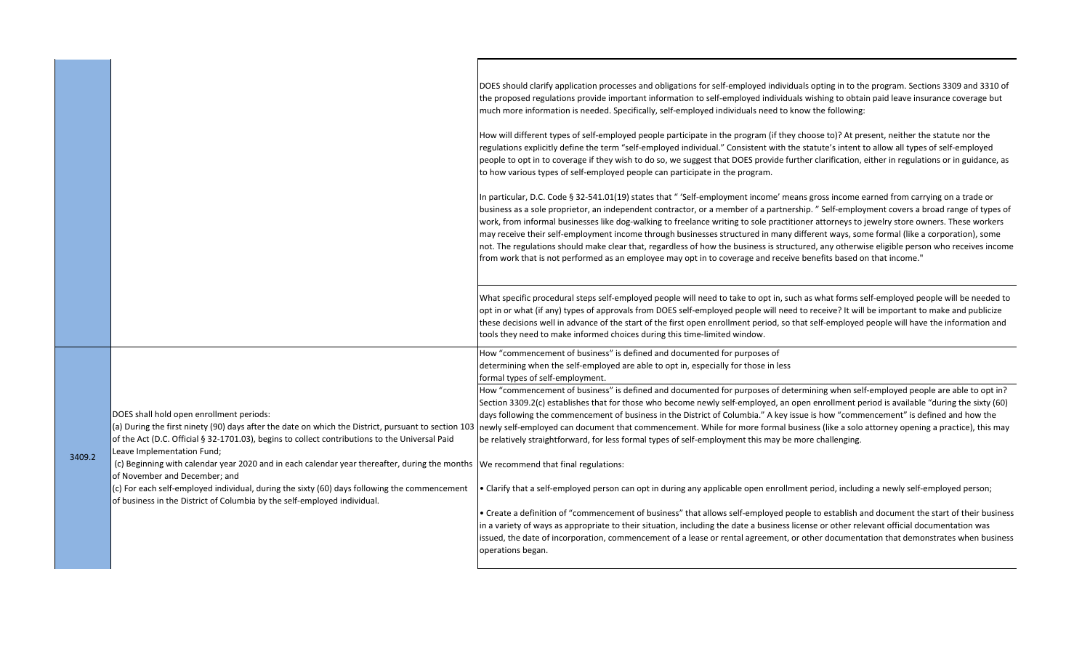|        |                                                                                                                                                                                                                                                   | DOES should clarify application processes and obligations for self-employed individuals opting in to the program. Sections 3309 and 3310 of<br>the proposed regulations provide important information to self-employed individuals wishing to obtain paid leave insurance coverage but<br>much more information is needed. Specifically, self-employed individuals need to know the following:                                                                                                                                                                                                                                                                                                                                                                                                                                                 |
|--------|---------------------------------------------------------------------------------------------------------------------------------------------------------------------------------------------------------------------------------------------------|------------------------------------------------------------------------------------------------------------------------------------------------------------------------------------------------------------------------------------------------------------------------------------------------------------------------------------------------------------------------------------------------------------------------------------------------------------------------------------------------------------------------------------------------------------------------------------------------------------------------------------------------------------------------------------------------------------------------------------------------------------------------------------------------------------------------------------------------|
|        |                                                                                                                                                                                                                                                   | How will different types of self-employed people participate in the program (if they choose to)? At present, neither the statute nor the<br>regulations explicitly define the term "self-employed individual." Consistent with the statute's intent to allow all types of self-employed<br>people to opt in to coverage if they wish to do so, we suggest that DOES provide further clarification, either in regulations or in guidance, as<br>to how various types of self-employed people can participate in the program.                                                                                                                                                                                                                                                                                                                    |
|        |                                                                                                                                                                                                                                                   | In particular, D.C. Code § 32-541.01(19) states that " 'Self-employment income' means gross income earned from carrying on a trade or<br>business as a sole proprietor, an independent contractor, or a member of a partnership." Self-employment covers a broad range of types of<br>work, from informal businesses like dog-walking to freelance writing to sole practitioner attorneys to jewelry store owners. These workers<br>may receive their self-employment income through businesses structured in many different ways, some formal (like a corporation), some<br>not. The regulations should make clear that, regardless of how the business is structured, any otherwise eligible person who receives income<br>from work that is not performed as an employee may opt in to coverage and receive benefits based on that income." |
|        |                                                                                                                                                                                                                                                   | What specific procedural steps self-employed people will need to take to opt in, such as what forms self-employed people will be needed to<br>opt in or what (if any) types of approvals from DOES self-employed people will need to receive? It will be important to make and publicize<br>these decisions well in advance of the start of the first open enrollment period, so that self-employed people will have the information and<br>tools they need to make informed choices during this time-limited window.                                                                                                                                                                                                                                                                                                                          |
|        |                                                                                                                                                                                                                                                   | How "commencement of business" is defined and documented for purposes of<br>determining when the self-employed are able to opt in, especially for those in less<br>formal types of self-employment.                                                                                                                                                                                                                                                                                                                                                                                                                                                                                                                                                                                                                                            |
| 3409.2 | DOES shall hold open enrollment periods:<br>(a) During the first ninety (90) days after the date on which the District, pursuant to section 103<br>of the Act (D.C. Official § 32-1701.03), begins to collect contributions to the Universal Paid | How "commencement of business" is defined and documented for purposes of determining when self-employed people are able to opt in?<br>Section 3309.2(c) establishes that for those who become newly self-employed, an open enrollment period is available "during the sixty (60)<br>days following the commencement of business in the District of Columbia." A key issue is how "commencement" is defined and how the<br>newly self-employed can document that commencement. While for more formal business (like a solo attorney opening a practice), this may<br>be relatively straightforward, for less formal types of self-employment this may be more challenging.                                                                                                                                                                      |
|        | Leave Implementation Fund;<br>(c) Beginning with calendar year 2020 and in each calendar year thereafter, during the months We recommend that final regulations:<br>of November and December; and                                                 |                                                                                                                                                                                                                                                                                                                                                                                                                                                                                                                                                                                                                                                                                                                                                                                                                                                |
|        | (c) For each self-employed individual, during the sixty (60) days following the commencement<br>of business in the District of Columbia by the self-employed individual.                                                                          | . Clarify that a self-employed person can opt in during any applicable open enrollment period, including a newly self-employed person;                                                                                                                                                                                                                                                                                                                                                                                                                                                                                                                                                                                                                                                                                                         |
|        |                                                                                                                                                                                                                                                   | . Create a definition of "commencement of business" that allows self-employed people to establish and document the start of their business<br>in a variety of ways as appropriate to their situation, including the date a business license or other relevant official documentation was<br>issued, the date of incorporation, commencement of a lease or rental agreement, or other documentation that demonstrates when business<br>operations began.                                                                                                                                                                                                                                                                                                                                                                                        |
|        |                                                                                                                                                                                                                                                   |                                                                                                                                                                                                                                                                                                                                                                                                                                                                                                                                                                                                                                                                                                                                                                                                                                                |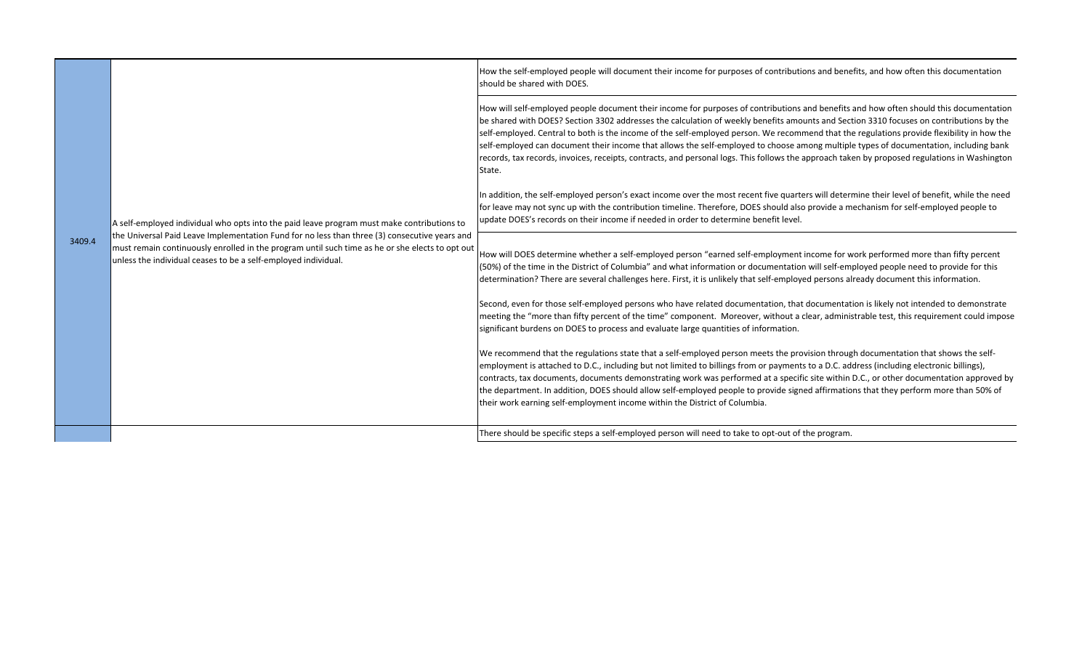|        |                                                                                                                                                                                                                                                                                                                                                                  | How the self-employed people will document their income for purposes of contributions and benefits, and how often this documentation<br>should be shared with DOES.                                                                                                                                                                                                                                                                                                                                                                                                                                                                                                                                                                 |
|--------|------------------------------------------------------------------------------------------------------------------------------------------------------------------------------------------------------------------------------------------------------------------------------------------------------------------------------------------------------------------|-------------------------------------------------------------------------------------------------------------------------------------------------------------------------------------------------------------------------------------------------------------------------------------------------------------------------------------------------------------------------------------------------------------------------------------------------------------------------------------------------------------------------------------------------------------------------------------------------------------------------------------------------------------------------------------------------------------------------------------|
| 3409.4 | A self-employed individual who opts into the paid leave program must make contributions to<br>the Universal Paid Leave Implementation Fund for no less than three (3) consecutive years and<br>must remain continuously enrolled in the program until such time as he or she elects to opt out<br>unless the individual ceases to be a self-employed individual. | How will self-employed people document their income for purposes of contributions and benefits and how often should this documentation<br>be shared with DOES? Section 3302 addresses the calculation of weekly benefits amounts and Section 3310 focuses on contributions by the<br>self-employed. Central to both is the income of the self-employed person. We recommend that the regulations provide flexibility in how the<br>self-employed can document their income that allows the self-employed to choose among multiple types of documentation, including bank<br>records, tax records, invoices, receipts, contracts, and personal logs. This follows the approach taken by proposed regulations in Washington<br>State. |
|        |                                                                                                                                                                                                                                                                                                                                                                  | In addition, the self-employed person's exact income over the most recent five quarters will determine their level of benefit, while the need<br>for leave may not sync up with the contribution timeline. Therefore, DOES should also provide a mechanism for self-employed people to<br>update DOES's records on their income if needed in order to determine benefit level.                                                                                                                                                                                                                                                                                                                                                      |
|        |                                                                                                                                                                                                                                                                                                                                                                  | How will DOES determine whether a self-employed person "earned self-employment income for work performed more than fifty percent<br>(50%) of the time in the District of Columbia" and what information or documentation will self-employed people need to provide for this<br>determination? There are several challenges here. First, it is unlikely that self-employed persons already document this information.                                                                                                                                                                                                                                                                                                                |
|        |                                                                                                                                                                                                                                                                                                                                                                  | Second, even for those self-employed persons who have related documentation, that documentation is likely not intended to demonstrate<br>meeting the "more than fifty percent of the time" component. Moreover, without a clear, administrable test, this requirement could impose<br>significant burdens on DOES to process and evaluate large quantities of information.                                                                                                                                                                                                                                                                                                                                                          |
|        |                                                                                                                                                                                                                                                                                                                                                                  | We recommend that the regulations state that a self-employed person meets the provision through documentation that shows the self-<br>employment is attached to D.C., including but not limited to billings from or payments to a D.C. address (including electronic billings),<br>contracts, tax documents, documents demonstrating work was performed at a specific site within D.C., or other documentation approved by<br>the department. In addition, DOES should allow self-employed people to provide signed affirmations that they perform more than 50% of<br>their work earning self-employment income within the District of Columbia.                                                                                   |
|        |                                                                                                                                                                                                                                                                                                                                                                  | There should be specific steps a self-employed person will need to take to opt-out of the program.                                                                                                                                                                                                                                                                                                                                                                                                                                                                                                                                                                                                                                  |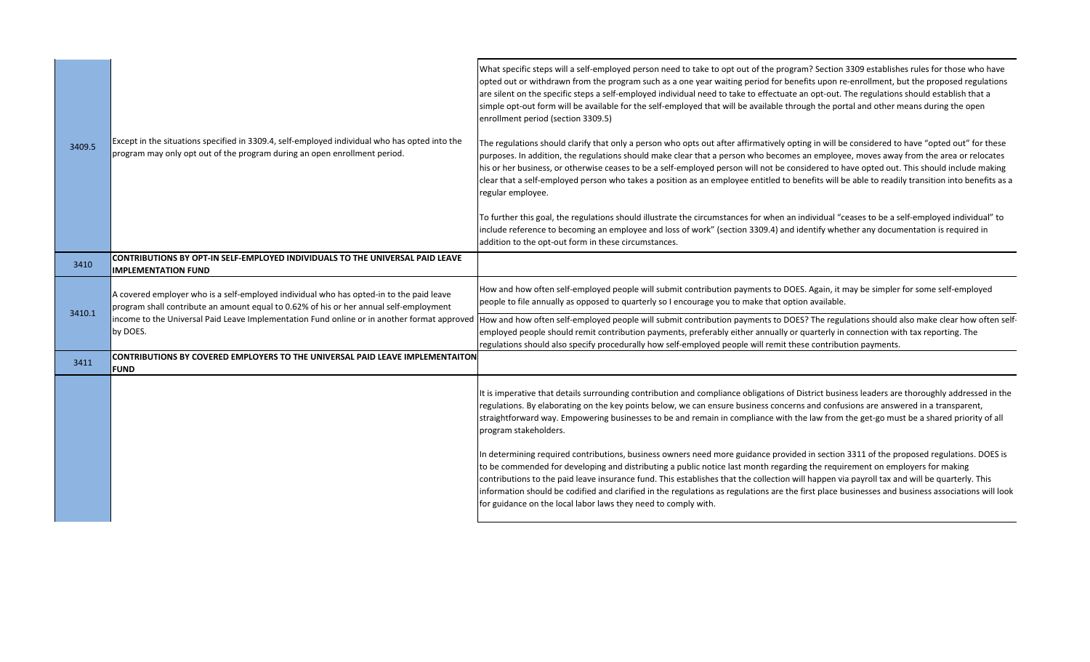| 3409.5 | Except in the situations specified in 3309.4, self-employed individual who has opted into the<br>program may only opt out of the program during an open enrollment period.        | What specific steps will a self-employed person need to take to opt out of the program? Section 3309 establishes rules for those who have<br>opted out or withdrawn from the program such as a one year waiting period for benefits upon re-enrollment, but the proposed regulations<br>are silent on the specific steps a self-employed individual need to take to effectuate an opt-out. The regulations should establish that a<br>simple opt-out form will be available for the self-employed that will be available through the portal and other means during the open<br>enrollment period (section 3309.5)<br>The regulations should clarify that only a person who opts out after affirmatively opting in will be considered to have "opted out" for these<br>purposes. In addition, the regulations should make clear that a person who becomes an employee, moves away from the area or relocates<br>his or her business, or otherwise ceases to be a self-employed person will not be considered to have opted out. This should include making<br>clear that a self-employed person who takes a position as an employee entitled to benefits will be able to readily transition into benefits as a<br>regular employee.<br>To further this goal, the regulations should illustrate the circumstances for when an individual "ceases to be a self-employed individual" to<br>include reference to becoming an employee and loss of work" (section 3309.4) and identify whether any documentation is required in |
|--------|-----------------------------------------------------------------------------------------------------------------------------------------------------------------------------------|---------------------------------------------------------------------------------------------------------------------------------------------------------------------------------------------------------------------------------------------------------------------------------------------------------------------------------------------------------------------------------------------------------------------------------------------------------------------------------------------------------------------------------------------------------------------------------------------------------------------------------------------------------------------------------------------------------------------------------------------------------------------------------------------------------------------------------------------------------------------------------------------------------------------------------------------------------------------------------------------------------------------------------------------------------------------------------------------------------------------------------------------------------------------------------------------------------------------------------------------------------------------------------------------------------------------------------------------------------------------------------------------------------------------------------------------------------------------------------------------------------------------------|
|        |                                                                                                                                                                                   | addition to the opt-out form in these circumstances.                                                                                                                                                                                                                                                                                                                                                                                                                                                                                                                                                                                                                                                                                                                                                                                                                                                                                                                                                                                                                                                                                                                                                                                                                                                                                                                                                                                                                                                                      |
| 3410   | CONTRIBUTIONS BY OPT-IN SELF-EMPLOYED INDIVIDUALS TO THE UNIVERSAL PAID LEAVE<br><b>IMPLEMENTATION FUND</b>                                                                       |                                                                                                                                                                                                                                                                                                                                                                                                                                                                                                                                                                                                                                                                                                                                                                                                                                                                                                                                                                                                                                                                                                                                                                                                                                                                                                                                                                                                                                                                                                                           |
| 3410.1 | A covered employer who is a self-employed individual who has opted-in to the paid leave<br>program shall contribute an amount equal to 0.62% of his or her annual self-employment | How and how often self-employed people will submit contribution payments to DOES. Again, it may be simpler for some self-employed<br>people to file annually as opposed to quarterly so I encourage you to make that option available.                                                                                                                                                                                                                                                                                                                                                                                                                                                                                                                                                                                                                                                                                                                                                                                                                                                                                                                                                                                                                                                                                                                                                                                                                                                                                    |
|        | income to the Universal Paid Leave Implementation Fund online or in another format approved<br>by DOES.                                                                           | How and how often self-employed people will submit contribution payments to DOES? The regulations should also make clear how often self-<br>employed people should remit contribution payments, preferably either annually or quarterly in connection with tax reporting. The<br>regulations should also specify procedurally how self-employed people will remit these contribution payments.                                                                                                                                                                                                                                                                                                                                                                                                                                                                                                                                                                                                                                                                                                                                                                                                                                                                                                                                                                                                                                                                                                                            |
| 3411   | CONTRIBUTIONS BY COVERED EMPLOYERS TO THE UNIVERSAL PAID LEAVE IMPLEMENTAITON<br><b>FUND</b>                                                                                      |                                                                                                                                                                                                                                                                                                                                                                                                                                                                                                                                                                                                                                                                                                                                                                                                                                                                                                                                                                                                                                                                                                                                                                                                                                                                                                                                                                                                                                                                                                                           |
|        |                                                                                                                                                                                   | It is imperative that details surrounding contribution and compliance obligations of District business leaders are thoroughly addressed in the<br>regulations. By elaborating on the key points below, we can ensure business concerns and confusions are answered in a transparent,<br>straightforward way. Empowering businesses to be and remain in compliance with the law from the get-go must be a shared priority of all<br>program stakeholders.                                                                                                                                                                                                                                                                                                                                                                                                                                                                                                                                                                                                                                                                                                                                                                                                                                                                                                                                                                                                                                                                  |
|        |                                                                                                                                                                                   | In determining required contributions, business owners need more guidance provided in section 3311 of the proposed regulations. DOES is<br>to be commended for developing and distributing a public notice last month regarding the requirement on employers for making<br>contributions to the paid leave insurance fund. This establishes that the collection will happen via payroll tax and will be quarterly. This<br>information should be codified and clarified in the regulations as regulations are the first place businesses and business associations will look<br>for guidance on the local labor laws they need to comply with.                                                                                                                                                                                                                                                                                                                                                                                                                                                                                                                                                                                                                                                                                                                                                                                                                                                                            |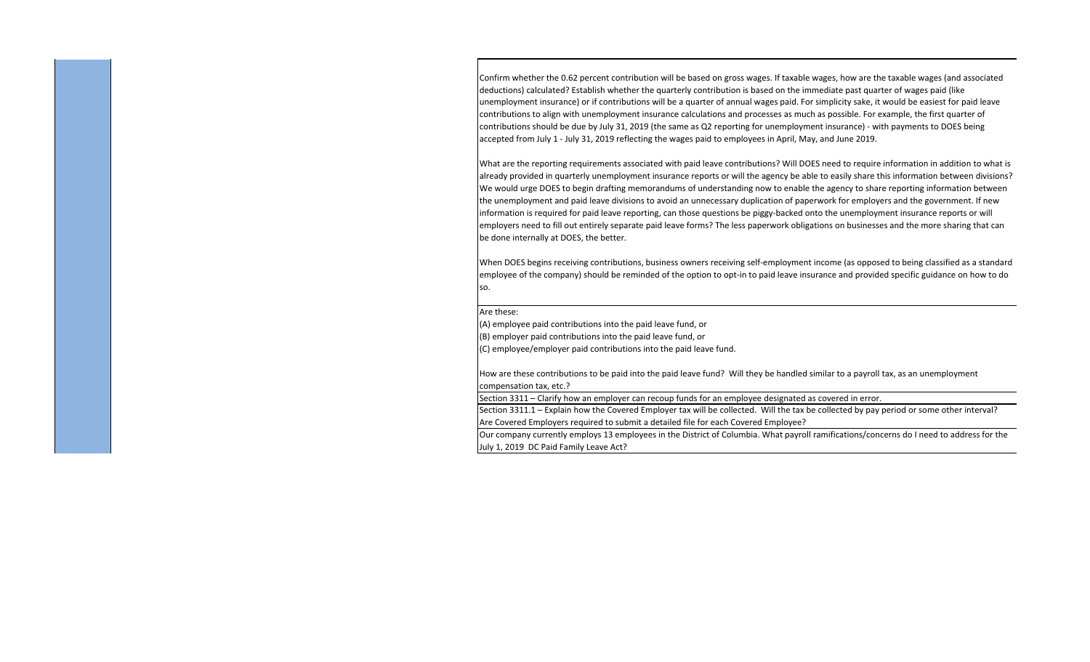Confirm whether the 0.62 percent contribution will be based on gross wages. If taxable wages, how are the taxable wages (and associated deductions) calculated? Establish whether the quarterly contribution is based on the immediate past quarter of wages paid (like unemployment insurance) or if contributions will be a quarter of annual wages paid. For simplicity sake, it would be easiest for paid leave contributions to align with unemployment insurance calculations and processes as much as possible. For example, the first quarter of contributions should be due by July 31, 2019 (the same as Q2 reporting for unemployment insurance) ‐ with payments to DOES being accepted from July 1 ‐ July 31, 2019 reflecting the wages paid to employees in April, May, and June 2019.

What are the reporting requirements associated with paid leave contributions? Will DOES need to require information in addition to what is already provided in quarterly unemployment insurance reports or will the agency be able to easily share this information between divisions? We would urge DOES to begin drafting memorandums of understanding now to enable the agency to share reporting information between the unemployment and paid leave divisions to avoid an unnecessary duplication of paperwork for employers and the government. If new information is required for paid leave reporting, can those questions be piggy‐backed onto the unemployment insurance reports or will employers need to fill out entirely separate paid leave forms? The less paperwork obligations on businesses and the more sharing that can be done internally at DOES, the better.

When DOES begins receiving contributions, business owners receiving self‐employment income (as opposed to being classified as a standard employee of the company) should be reminded of the option to opt-in to paid leave insurance and provided specific guidance on how to do so.

Are these:

(A) employee paid contributions into the paid leave fund, or

(B) employer paid contributions into the paid leave fund, or

(C) employee/employer paid contributions into the paid leave fund.

How are these contributions to be paid into the paid leave fund? Will they be handled similar to a payroll tax, as an unemployment compensation tax, etc.?

Section 3311 – Clarify how an employer can recoup funds for an employee designated as covered in error.

Section 3311.1 – Explain how the Covered Employer tax will be collected. Will the tax be collected by pay period or some other interval? Are Covered Employers required to submit a detailed file for each Covered Employee?

Our company currently employs 13 employees in the District of Columbia. What payroll ramifications/concerns do I need to address for the July 1, 2019 DC Paid Family Leave Act?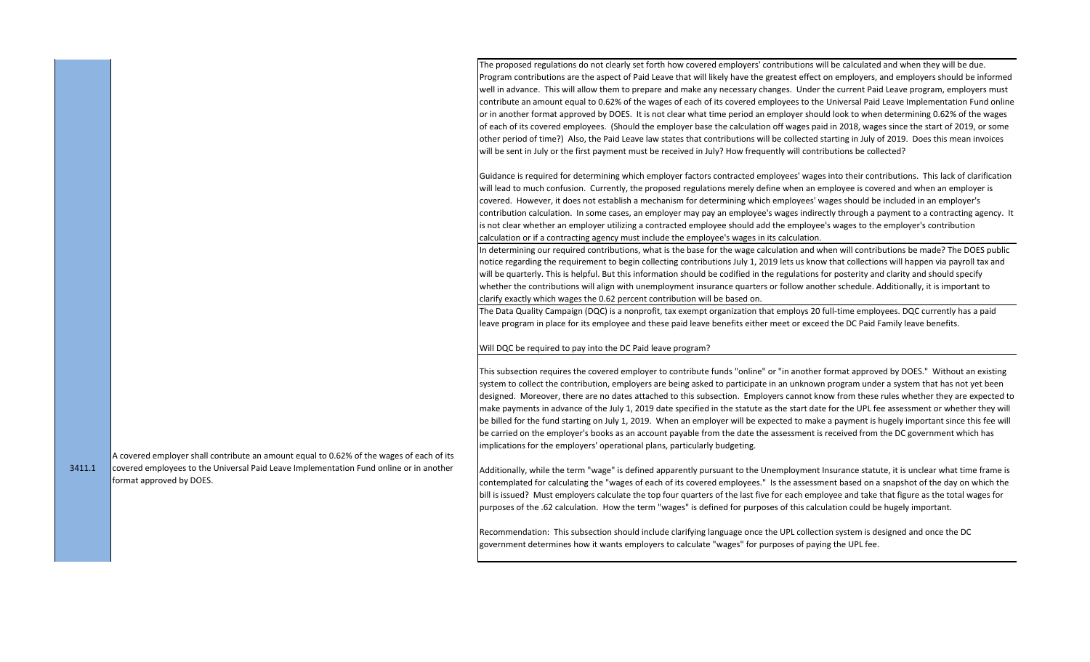The proposed regulations do not clearly set forth how covered employers' contributions will be calculated and when they will be due. Program contributions are the aspect of Paid Leave that will likely have the greatest effect on employers, and employers should be informed well in advance. This will allow them to prepare and make any necessary changes. Under the current Paid Leave program, employers must contribute an amount equal to 0.62% of the wages of each of its covered employees to the Universal Paid Leave Implementation Fund online or in another format approved by DOES. It is not clear what time period an employer should look to when determining 0.62% of the wages of each of its covered employees. (Should the employer base the calculation off wages paid in 2018, wages since the start of 2019, or some other period of time?) Also, the Paid Leave law states that contributions will be collected starting in July of 2019. Does this mean invoices will be sent in July or the first payment must be received in July? How frequently will contributions be collected?

Guidance is required for determining which employer factors contracted employees' wages into their contributions. This lack of clarification will lead to much confusion. Currently, the proposed regulations merely define when an employee is covered and when an employer is covered. However, it does not establish a mechanism for determining which employees' wages should be included in an employer's contribution calculation. In some cases, an employer may pay an employee's wages indirectly through a payment to a contracting agency. It is not clear whether an employer utilizing a contracted employee should add the employee's wages to the employer's contribution calculation or if a contracting agency must include the employee's wages in its calculation.

In determining our required contributions, what is the base for the wage calculation and when will contributions be made? The DOES public notice regarding the requirement to begin collecting contributions July 1, 2019 lets us know that collections will happen via payroll tax and will be quarterly. This is helpful. But this information should be codified in the regulations for posterity and clarity and should specify whether the contributions will align with unemployment insurance quarters or follow another schedule. Additionally, it is important to clarify exactly which wages the 0.62 percent contribution will be based on.

The Data Quality Campaign (DQC) is a nonprofit, tax exempt organization that employs 20 full‐time employees. DQC currently has a paid leave program in place for its employee and these paid leave benefits either meet or exceed the DC Paid Family leave benefits.

## Will DQC be required to pay into the DC Paid leave program?

This subsection requires the covered employer to contribute funds "online" or "in another format approved by DOES." Without an existing system to collect the contribution, employers are being asked to participate in an unknown program under a system that has not yet been designed. Moreover, there are no dates attached to this subsection. Employers cannot know from these rules whether they are expected to make payments in advance of the July 1, 2019 date specified in the statute as the start date for the UPL fee assessment or whether they will be billed for the fund starting on July 1, 2019. When an employer will be expected to make a payment is hugely important since this fee will be carried on the employer's books as an account payable from the date the assessment is received from the DC government which has implications for the employers' operational plans, particularly budgeting.

Additionally, while the term "wage" is defined apparently pursuant to the Unemployment Insurance statute, it is unclear what time frame is contemplated for calculating the "wages of each of its covered employees." Is the assessment based on a snapshot of the day on which the bill is issued? Must employers calculate the top four quarters of the last five for each employee and take that figure as the total wages for purposes of the .62 calculation. How the term "wages" is defined for purposes of this calculation could be hugely important.

Recommendation: This subsection should include clarifying language once the UPL collection system is designed and once the DC government determines how it wants employers to calculate "wages" for purposes of paying the UPL fee.

A covered employer shall contribute an amount equal to 0.62% of the wages of each of its covered employees to the Universal Paid Leave Implementation Fund online or in another format approved by DOES. 3411.1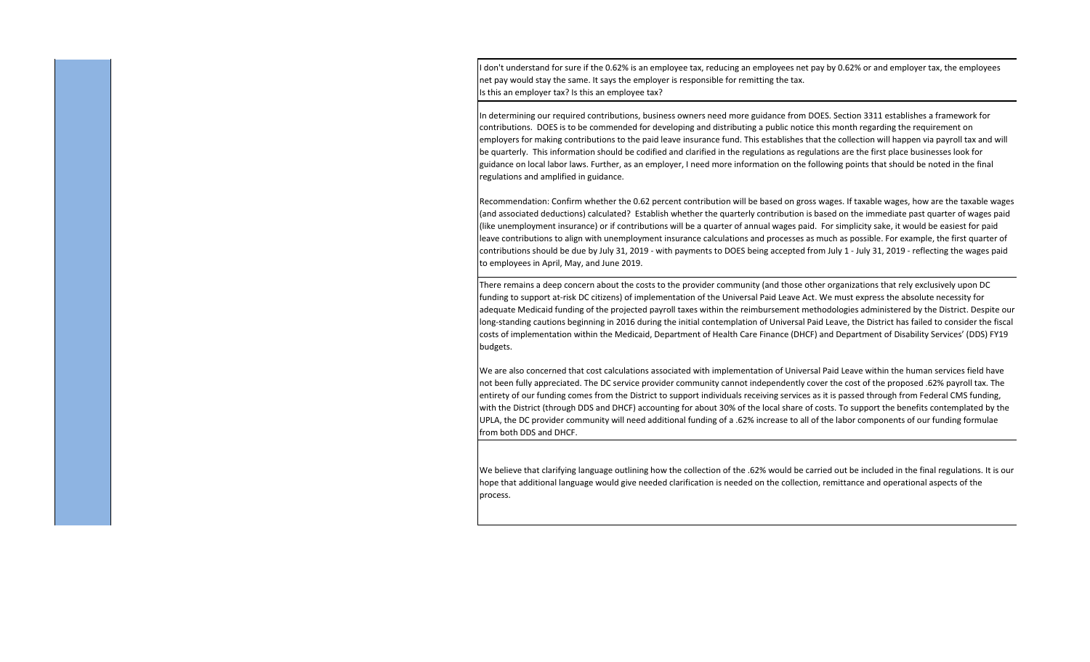I don't understand for sure if the 0.62% is an employee tax, reducing an employees net pay by 0.62% or and employer tax, the employees net pay would stay the same. It says the employer is responsible for remitting the tax. Is this an employer tax? Is this an employee tax?

In determining our required contributions, business owners need more guidance from DOES. Section 3311 establishes a framework for contributions. DOES is to be commended for developing and distributing a public notice this month regarding the requirement on employers for making contributions to the paid leave insurance fund. This establishes that the collection will happen via payroll tax and will be quarterly. This information should be codified and clarified in the regulations as regulations are the first place businesses look for guidance on local labor laws. Further, as an employer, I need more information on the following points that should be noted in the final regulations and amplified in guidance.

Recommendation: Confirm whether the 0.62 percent contribution will be based on gross wages. If taxable wages, how are the taxable wages (and associated deductions) calculated? Establish whether the quarterly contribution is based on the immediate past quarter of wages paid (like unemployment insurance) or if contributions will be a quarter of annual wages paid. For simplicity sake, it would be easiest for paid leave contributions to align with unemployment insurance calculations and processes as much as possible. For example, the first quarter of contributions should be due by July 31, 2019 ‐ with payments to DOES being accepted from July 1 ‐ July 31, 2019 ‐ reflecting the wages paid to employees in April, May, and June 2019.

There remains a deep concern about the costs to the provider community (and those other organizations that rely exclusively upon DC funding to support at-risk DC citizens) of implementation of the Universal Paid Leave Act. We must express the absolute necessity for adequate Medicaid funding of the projected payroll taxes within the reimbursement methodologies administered by the District. Despite our long‐standing cautions beginning in 2016 during the initial contemplation of Universal Paid Leave, the District has failed to consider the fiscal costs of implementation within the Medicaid, Department of Health Care Finance (DHCF) and Department of Disability Services' (DDS) FY19 budgets.

We are also concerned that cost calculations associated with implementation of Universal Paid Leave within the human services field have not been fully appreciated. The DC service provider community cannot independently cover the cost of the proposed .62% payroll tax. The entirety of our funding comes from the District to support individuals receiving services as it is passed through from Federal CMS funding, with the District (through DDS and DHCF) accounting for about 30% of the local share of costs. To support the benefits contemplated by the UPLA, the DC provider community will need additional funding of a .62% increase to all of the labor components of our funding formulae from both DDS and DHCF.

We believe that clarifying language outlining how the collection of the .62% would be carried out be included in the final regulations. It is our hope that additional language would give needed clarification is needed on the collection, remittance and operational aspects of the process.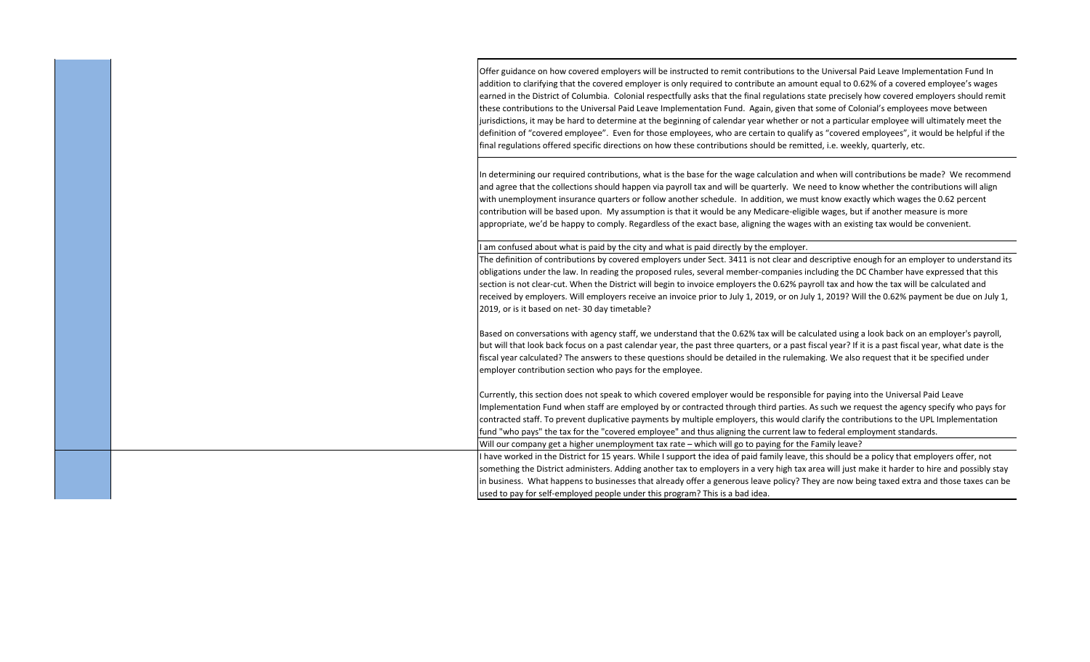|  | Offer guidance on how covered employers will be instructed to remit contributions to the Universal Paid Leave Implementation Fund In<br>addition to clarifying that the covered employer is only required to contribute an amount equal to 0.62% of a covered employee's wages<br>earned in the District of Columbia. Colonial respectfully asks that the final regulations state precisely how covered employers should remit<br>these contributions to the Universal Paid Leave Implementation Fund. Again, given that some of Colonial's employees move between<br>jurisdictions, it may be hard to determine at the beginning of calendar year whether or not a particular employee will ultimately meet the<br>definition of "covered employee". Even for those employees, who are certain to qualify as "covered employees", it would be helpful if the<br>final regulations offered specific directions on how these contributions should be remitted, i.e. weekly, quarterly, etc. |
|--|--------------------------------------------------------------------------------------------------------------------------------------------------------------------------------------------------------------------------------------------------------------------------------------------------------------------------------------------------------------------------------------------------------------------------------------------------------------------------------------------------------------------------------------------------------------------------------------------------------------------------------------------------------------------------------------------------------------------------------------------------------------------------------------------------------------------------------------------------------------------------------------------------------------------------------------------------------------------------------------------|
|  | In determining our required contributions, what is the base for the wage calculation and when will contributions be made? We recommend<br>and agree that the collections should happen via payroll tax and will be quarterly. We need to know whether the contributions will align<br>with unemployment insurance quarters or follow another schedule. In addition, we must know exactly which wages the 0.62 percent<br>contribution will be based upon. My assumption is that it would be any Medicare-eligible wages, but if another measure is more<br>appropriate, we'd be happy to comply. Regardless of the exact base, aligning the wages with an existing tax would be convenient.                                                                                                                                                                                                                                                                                                |
|  | I am confused about what is paid by the city and what is paid directly by the employer.                                                                                                                                                                                                                                                                                                                                                                                                                                                                                                                                                                                                                                                                                                                                                                                                                                                                                                    |
|  | The definition of contributions by covered employers under Sect. 3411 is not clear and descriptive enough for an employer to understand its<br>obligations under the law. In reading the proposed rules, several member-companies including the DC Chamber have expressed that this<br>section is not clear-cut. When the District will begin to invoice employers the 0.62% payroll tax and how the tax will be calculated and<br>received by employers. Will employers receive an invoice prior to July 1, 2019, or on July 1, 2019? Will the 0.62% payment be due on July 1,<br>2019, or is it based on net-30 day timetable?                                                                                                                                                                                                                                                                                                                                                           |
|  | Based on conversations with agency staff, we understand that the 0.62% tax will be calculated using a look back on an employer's payroll,<br>but will that look back focus on a past calendar year, the past three quarters, or a past fiscal year? If it is a past fiscal year, what date is the<br>fiscal year calculated? The answers to these questions should be detailed in the rulemaking. We also request that it be specified under<br>employer contribution section who pays for the employee.                                                                                                                                                                                                                                                                                                                                                                                                                                                                                   |
|  | Currently, this section does not speak to which covered employer would be responsible for paying into the Universal Paid Leave<br>Implementation Fund when staff are employed by or contracted through third parties. As such we request the agency specify who pays for<br>contracted staff. To prevent duplicative payments by multiple employers, this would clarify the contributions to the UPL Implementation<br>fund "who pays" the tax for the "covered employee" and thus aligning the current law to federal employment standards.                                                                                                                                                                                                                                                                                                                                                                                                                                               |
|  | Will our company get a higher unemployment tax rate – which will go to paying for the Family leave?                                                                                                                                                                                                                                                                                                                                                                                                                                                                                                                                                                                                                                                                                                                                                                                                                                                                                        |
|  | I have worked in the District for 15 years. While I support the idea of paid family leave, this should be a policy that employers offer, not                                                                                                                                                                                                                                                                                                                                                                                                                                                                                                                                                                                                                                                                                                                                                                                                                                               |
|  | something the District administers. Adding another tax to employers in a very high tax area will just make it harder to hire and possibly stay                                                                                                                                                                                                                                                                                                                                                                                                                                                                                                                                                                                                                                                                                                                                                                                                                                             |
|  | in business. What happens to businesses that already offer a generous leave policy? They are now being taxed extra and those taxes can be                                                                                                                                                                                                                                                                                                                                                                                                                                                                                                                                                                                                                                                                                                                                                                                                                                                  |
|  | used to pay for self-employed people under this program? This is a bad idea.                                                                                                                                                                                                                                                                                                                                                                                                                                                                                                                                                                                                                                                                                                                                                                                                                                                                                                               |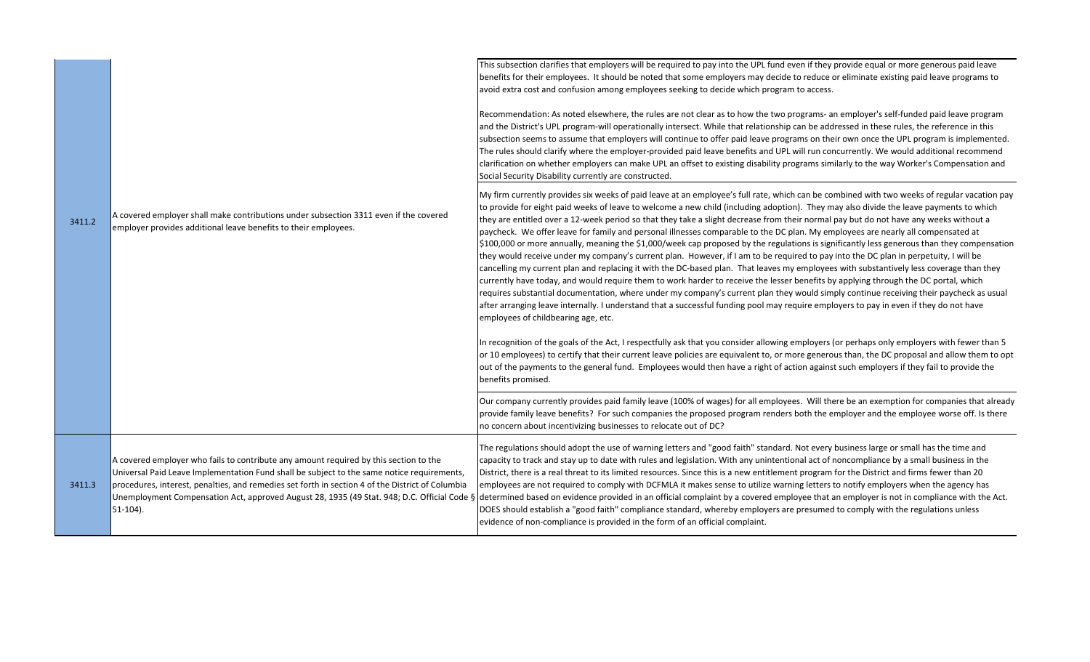|        |                                                                                                                                                                                                                                                                                                                                                                                                       | This subsection clarifies that employers will be required to pay into the UPL fund even if they provide equal or more generous paid leave<br>benefits for their employees. It should be noted that some employers may decide to reduce or eliminate existing paid leave programs to<br>avoid extra cost and confusion among employees seeking to decide which program to access.<br>Recommendation: As noted elsewhere, the rules are not clear as to how the two programs- an employer's self-funded paid leave program<br>and the District's UPL program-will operationally intersect. While that relationship can be addressed in these rules, the reference in this<br>subsection seems to assume that employers will continue to offer paid leave programs on their own once the UPL program is implemented.<br>The rules should clarify where the employer-provided paid leave benefits and UPL will run concurrently. We would additional recommend                                                                                                                                                                                                                                                                                                                                                                                                                                                                                                                                           |
|--------|-------------------------------------------------------------------------------------------------------------------------------------------------------------------------------------------------------------------------------------------------------------------------------------------------------------------------------------------------------------------------------------------------------|------------------------------------------------------------------------------------------------------------------------------------------------------------------------------------------------------------------------------------------------------------------------------------------------------------------------------------------------------------------------------------------------------------------------------------------------------------------------------------------------------------------------------------------------------------------------------------------------------------------------------------------------------------------------------------------------------------------------------------------------------------------------------------------------------------------------------------------------------------------------------------------------------------------------------------------------------------------------------------------------------------------------------------------------------------------------------------------------------------------------------------------------------------------------------------------------------------------------------------------------------------------------------------------------------------------------------------------------------------------------------------------------------------------------------------------------------------------------------------------------------|
| 3411.2 | A covered employer shall make contributions under subsection 3311 even if the covered<br>employer provides additional leave benefits to their employees.                                                                                                                                                                                                                                              | clarification on whether employers can make UPL an offset to existing disability programs similarly to the way Worker's Compensation and<br>Social Security Disability currently are constructed.<br>My firm currently provides six weeks of paid leave at an employee's full rate, which can be combined with two weeks of regular vacation pay<br>to provide for eight paid weeks of leave to welcome a new child (including adoption). They may also divide the leave payments to which<br>they are entitled over a 12-week period so that they take a slight decrease from their normal pay but do not have any weeks without a<br>paycheck. We offer leave for family and personal illnesses comparable to the DC plan. My employees are nearly all compensated at<br>$\frac{1}{2}100,000$ or more annually, meaning the \$1,000/week cap proposed by the regulations is significantly less generous than they compensation<br>they would receive under my company's current plan. However, if I am to be required to pay into the DC plan in perpetuity, I will be<br>cancelling my current plan and replacing it with the DC-based plan. That leaves my employees with substantively less coverage than they<br>currently have today, and would require them to work harder to receive the lesser benefits by applying through the DC portal, which<br>requires substantial documentation, where under my company's current plan they would simply continue receiving their paycheck as usual |
|        |                                                                                                                                                                                                                                                                                                                                                                                                       | after arranging leave internally. I understand that a successful funding pool may require employers to pay in even if they do not have<br>employees of childbearing age, etc.<br>In recognition of the goals of the Act, I respectfully ask that you consider allowing employers (or perhaps only employers with fewer than 5<br>or 10 employees) to certify that their current leave policies are equivalent to, or more generous than, the DC proposal and allow them to opt<br>out of the payments to the general fund. Employees would then have a right of action against such employers if they fail to provide the<br>benefits promised.<br>Our company currently provides paid family leave (100% of wages) for all employees. Will there be an exemption for companies that already                                                                                                                                                                                                                                                                                                                                                                                                                                                                                                                                                                                                                                                                                                         |
|        |                                                                                                                                                                                                                                                                                                                                                                                                       | provide family leave benefits? For such companies the proposed program renders both the employer and the employee worse off. Is there<br>no concern about incentivizing businesses to relocate out of DC?                                                                                                                                                                                                                                                                                                                                                                                                                                                                                                                                                                                                                                                                                                                                                                                                                                                                                                                                                                                                                                                                                                                                                                                                                                                                                            |
| 3411.3 | A covered employer who fails to contribute any amount required by this section to the<br>Universal Paid Leave Implementation Fund shall be subject to the same notice requirements,<br>procedures, interest, penalties, and remedies set forth in section 4 of the District of Columbia<br>Unemployment Compensation Act, approved August 28, 1935 (49 Stat. 948; D.C. Official Code §<br>$51-104$ ). | The regulations should adopt the use of warning letters and "good faith" standard. Not every business large or small has the time and<br>capacity to track and stay up to date with rules and legislation. With any unintentional act of noncompliance by a small business in the<br>District, there is a real threat to its limited resources. Since this is a new entitlement program for the District and firms fewer than 20<br>employees are not required to comply with DCFMLA it makes sense to utilize warning letters to notify employers when the agency has<br>determined based on evidence provided in an official complaint by a covered employee that an employer is not in compliance with the Act.<br>DOES should establish a "good faith" compliance standard, whereby employers are presumed to comply with the regulations unless<br>evidence of non-compliance is provided in the form of an official complaint.                                                                                                                                                                                                                                                                                                                                                                                                                                                                                                                                                                 |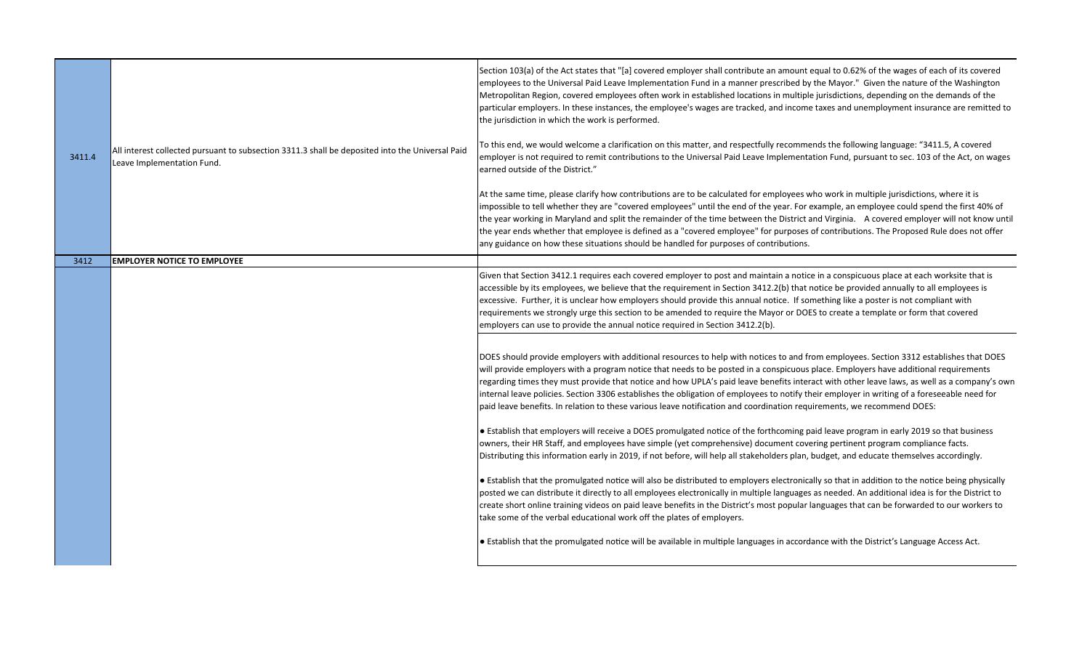| 3411.4 | All interest collected pursuant to subsection 3311.3 shall be deposited into the Universal Paid<br>Leave Implementation Fund. | Section 103(a) of the Act states that "[a] covered employer shall contribute an amount equal to 0.62% of the wages of each of its covered<br>employees to the Universal Paid Leave Implementation Fund in a manner prescribed by the Mayor." Given the nature of the Washington<br>Metropolitan Region, covered employees often work in established locations in multiple jurisdictions, depending on the demands of the<br>particular employers. In these instances, the employee's wages are tracked, and income taxes and unemployment insurance are remitted to<br>the jurisdiction in which the work is performed.<br>To this end, we would welcome a clarification on this matter, and respectfully recommends the following language: "3411.5, A covered<br>employer is not required to remit contributions to the Universal Paid Leave Implementation Fund, pursuant to sec. 103 of the Act, on wages<br>earned outside of the District."<br>At the same time, please clarify how contributions are to be calculated for employees who work in multiple jurisdictions, where it is<br>impossible to tell whether they are "covered employees" until the end of the year. For example, an employee could spend the first 40% of<br>the year working in Maryland and split the remainder of the time between the District and Virginia. A covered employer will not know until<br>the year ends whether that employee is defined as a "covered employee" for purposes of contributions. The Proposed Rule does not offer<br>any guidance on how these situations should be handled for purposes of contributions.                                                                                                                                                                                                                                                                                                      |
|--------|-------------------------------------------------------------------------------------------------------------------------------|------------------------------------------------------------------------------------------------------------------------------------------------------------------------------------------------------------------------------------------------------------------------------------------------------------------------------------------------------------------------------------------------------------------------------------------------------------------------------------------------------------------------------------------------------------------------------------------------------------------------------------------------------------------------------------------------------------------------------------------------------------------------------------------------------------------------------------------------------------------------------------------------------------------------------------------------------------------------------------------------------------------------------------------------------------------------------------------------------------------------------------------------------------------------------------------------------------------------------------------------------------------------------------------------------------------------------------------------------------------------------------------------------------------------------------------------------------------------------------------------------------------------------------------------------------------------------------------------------------------------------------------------------------------------------------------------------------------------------------------------------------------------------------------------------------------------------------------------------------------------------------------------------------------------------|
| 3412   | <b>EMPLOYER NOTICE TO EMPLOYEE</b>                                                                                            |                                                                                                                                                                                                                                                                                                                                                                                                                                                                                                                                                                                                                                                                                                                                                                                                                                                                                                                                                                                                                                                                                                                                                                                                                                                                                                                                                                                                                                                                                                                                                                                                                                                                                                                                                                                                                                                                                                                              |
|        |                                                                                                                               | Given that Section 3412.1 requires each covered employer to post and maintain a notice in a conspicuous place at each worksite that is<br>accessible by its employees, we believe that the requirement in Section 3412.2(b) that notice be provided annually to all employees is<br>excessive. Further, it is unclear how employers should provide this annual notice. If something like a poster is not compliant with<br>requirements we strongly urge this section to be amended to require the Mayor or DOES to create a template or form that covered<br>employers can use to provide the annual notice required in Section 3412.2(b).<br>DOES should provide employers with additional resources to help with notices to and from employees. Section 3312 establishes that DOES<br>will provide employers with a program notice that needs to be posted in a conspicuous place. Employers have additional requirements<br>regarding times they must provide that notice and how UPLA's paid leave benefits interact with other leave laws, as well as a company's own<br>internal leave policies. Section 3306 establishes the obligation of employees to notify their employer in writing of a foreseeable need for<br>paid leave benefits. In relation to these various leave notification and coordination requirements, we recommend DOES:<br>• Establish that employers will receive a DOES promulgated notice of the forthcoming paid leave program in early 2019 so that business<br>owners, their HR Staff, and employees have simple (yet comprehensive) document covering pertinent program compliance facts.<br>Distributing this information early in 2019, if not before, will help all stakeholders plan, budget, and educate themselves accordingly.<br>• Establish that the promulgated notice will also be distributed to employers electronically so that in addition to the notice being physically |
|        |                                                                                                                               | posted we can distribute it directly to all employees electronically in multiple languages as needed. An additional idea is for the District to<br>create short online training videos on paid leave benefits in the District's most popular languages that can be forwarded to our workers to<br>take some of the verbal educational work off the plates of employers.                                                                                                                                                                                                                                                                                                                                                                                                                                                                                                                                                                                                                                                                                                                                                                                                                                                                                                                                                                                                                                                                                                                                                                                                                                                                                                                                                                                                                                                                                                                                                      |
|        |                                                                                                                               | • Establish that the promulgated notice will be available in multiple languages in accordance with the District's Language Access Act.                                                                                                                                                                                                                                                                                                                                                                                                                                                                                                                                                                                                                                                                                                                                                                                                                                                                                                                                                                                                                                                                                                                                                                                                                                                                                                                                                                                                                                                                                                                                                                                                                                                                                                                                                                                       |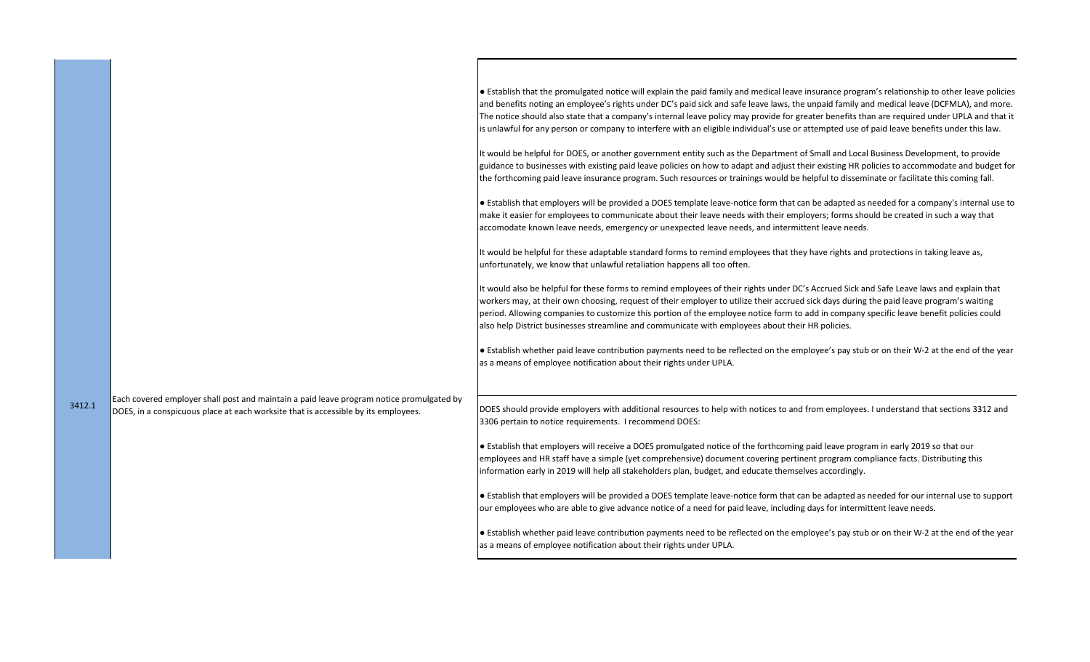|        |                                                                                                                                                                                | • Establish that the promulgated notice will explain the paid family and medical leave insurance program's relationship to other leave policies<br>and benefits noting an employee's rights under DC's paid sick and safe leave laws, the unpaid family and medical leave (DCFMLA), and more.<br>The notice should also state that a company's internal leave policy may provide for greater benefits than are required under UPLA and that it<br>is unlawful for any person or company to interfere with an eligible individual's use or attempted use of paid leave benefits under this law. |
|--------|--------------------------------------------------------------------------------------------------------------------------------------------------------------------------------|------------------------------------------------------------------------------------------------------------------------------------------------------------------------------------------------------------------------------------------------------------------------------------------------------------------------------------------------------------------------------------------------------------------------------------------------------------------------------------------------------------------------------------------------------------------------------------------------|
|        |                                                                                                                                                                                | It would be helpful for DOES, or another government entity such as the Department of Small and Local Business Development, to provide<br>guidance to businesses with existing paid leave policies on how to adapt and adjust their existing HR policies to accommodate and budget for<br>the forthcoming paid leave insurance program. Such resources or trainings would be helpful to disseminate or facilitate this coming fall.                                                                                                                                                             |
|        |                                                                                                                                                                                | Establish that employers will be provided a DOES template leave-notice form that can be adapted as needed for a company's internal use to<br>make it easier for employees to communicate about their leave needs with their employers; forms should be created in such a way that<br>accomodate known leave needs, emergency or unexpected leave needs, and intermittent leave needs.                                                                                                                                                                                                          |
|        |                                                                                                                                                                                | It would be helpful for these adaptable standard forms to remind employees that they have rights and protections in taking leave as,<br>unfortunately, we know that unlawful retaliation happens all too often.                                                                                                                                                                                                                                                                                                                                                                                |
|        |                                                                                                                                                                                | It would also be helpful for these forms to remind employees of their rights under DC's Accrued Sick and Safe Leave laws and explain that<br>workers may, at their own choosing, request of their employer to utilize their accrued sick days during the paid leave program's waiting<br>period. Allowing companies to customize this portion of the employee notice form to add in company specific leave benefit policies could<br>also help District businesses streamline and communicate with employees about their HR policies.                                                          |
|        |                                                                                                                                                                                | e Establish whether paid leave contribution payments need to be reflected on the employee's pay stub or on their W-2 at the end of the year<br>as a means of employee notification about their rights under UPLA.                                                                                                                                                                                                                                                                                                                                                                              |
| 3412.1 | Each covered employer shall post and maintain a paid leave program notice promulgated by<br>DOES, in a conspicuous place at each worksite that is accessible by its employees. | DOES should provide employers with additional resources to help with notices to and from employees. I understand that sections 3312 and<br>3306 pertain to notice requirements. I recommend DOES:                                                                                                                                                                                                                                                                                                                                                                                              |
|        |                                                                                                                                                                                | • Establish that employers will receive a DOES promulgated notice of the forthcoming paid leave program in early 2019 so that our<br>employees and HR staff have a simple (yet comprehensive) document covering pertinent program compliance facts. Distributing this<br>information early in 2019 will help all stakeholders plan, budget, and educate themselves accordingly.                                                                                                                                                                                                                |
|        |                                                                                                                                                                                | Establish that employers will be provided a DOES template leave-notice form that can be adapted as needed for our internal use to support<br>our employees who are able to give advance notice of a need for paid leave, including days for intermittent leave needs.                                                                                                                                                                                                                                                                                                                          |
|        |                                                                                                                                                                                | • Establish whether paid leave contribution payments need to be reflected on the employee's pay stub or on their W-2 at the end of the year<br>as a means of employee notification about their rights under UPLA.                                                                                                                                                                                                                                                                                                                                                                              |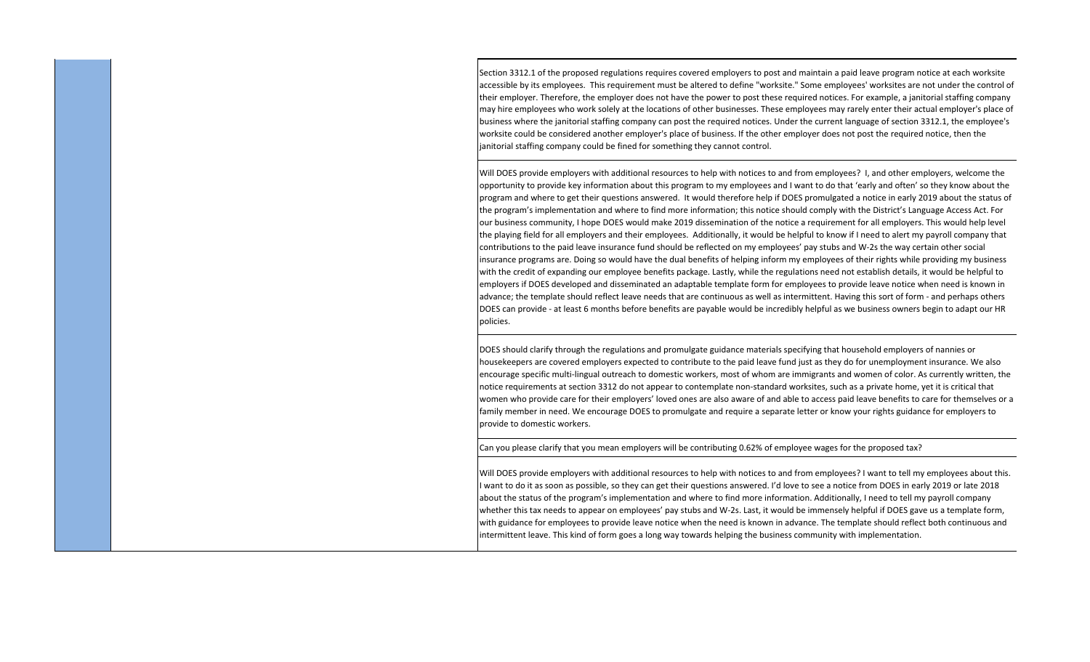Section 3312.1 of the proposed regulations requires covered employers to post and maintain a paid leave program notice at each worksite accessible by its employees. This requirement must be altered to define "worksite." Some employees' worksites are not under the control of their employer. Therefore, the employer does not have the power to post these required notices. For example, a janitorial staffing company may hire employees who work solely at the locations of other businesses. These employees may rarely enter their actual employer's place of business where the janitorial staffing company can post the required notices. Under the current language of section 3312.1, the employee's worksite could be considered another employer's place of business. If the other employer does not post the required notice, then the janitorial staffing company could be fined for something they cannot control.

Will DOES provide employers with additional resources to help with notices to and from employees? I, and other employers, welcome the opportunity to provide key information about this program to my employees and I want to do that 'early and often' so they know about the program and where to get their questions answered. It would therefore help if DOES promulgated a notice in early 2019 about the status of the program's implementation and where to find more information; this notice should comply with the District's Language Access Act. For our business community, I hope DOES would make 2019 dissemination of the notice a requirement for all employers. This would help level the playing field for all employers and their employees. Additionally, it would be helpful to know if I need to alert my payroll company that contributions to the paid leave insurance fund should be reflected on my employees' pay stubs and W‐2s the way certain other social insurance programs are. Doing so would have the dual benefits of helping inform my employees of their rights while providing my business with the credit of expanding our employee benefits package. Lastly, while the regulations need not establish details, it would be helpful to employers if DOES developed and disseminated an adaptable template form for employees to provide leave notice when need is known in advance; the template should reflect leave needs that are continuous as well as intermittent. Having this sort of form ‐ and perhaps others DOES can provide ‐ at least 6 months before benefits are payable would be incredibly helpful as we business owners begin to adapt our HR policies.

DOES should clarify through the regulations and promulgate guidance materials specifying that household employers of nannies or housekeepers are covered employers expected to contribute to the paid leave fund just as they do for unemployment insurance. We also encourage specific multi‐lingual outreach to domestic workers, most of whom are immigrants and women of color. As currently written, the notice requirements at section 3312 do not appear to contemplate non‐standard worksites, such as a private home, yet it is critical that women who provide care for their employers' loved ones are also aware of and able to access paid leave benefits to care for themselves or a family member in need. We encourage DOES to promulgate and require a separate letter or know your rights guidance for employers to provide to domestic workers.

Can you please clarify that you mean employers will be contributing 0.62% of employee wages for the proposed tax?

Will DOES provide employers with additional resources to help with notices to and from employees? I want to tell my employees about this. I want to do it as soon as possible, so they can get their questions answered. I'd love to see a notice from DOES in early 2019 or late 2018 about the status of the program's implementation and where to find more information. Additionally, I need to tell my payroll company whether this tax needs to appear on employees' pay stubs and W‐2s. Last, it would be immensely helpful if DOES gave us a template form, with guidance for employees to provide leave notice when the need is known in advance. The template should reflect both continuous and intermittent leave. This kind of form goes a long way towards helping the business community with implementation.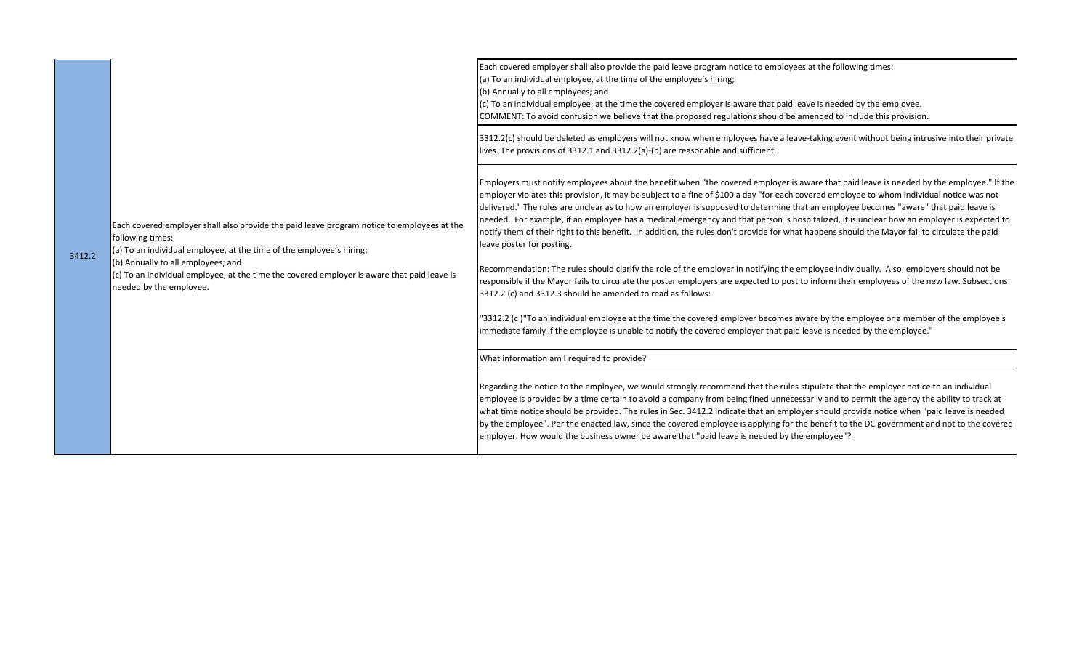| 3412.2 | Each covered employer shall also provide the paid leave program notice to employees at the<br>following times:<br>(a) To an individual employee, at the time of the employee's hiring;<br>(b) Annually to all employees; and<br>(c) To an individual employee, at the time the covered employer is aware that paid leave is<br>needed by the employee. | Each covered employer shall also provide the paid leave program notice to employees at the following times:<br>(a) To an individual employee, at the time of the employee's hiring;<br>(b) Annually to all employees; and<br>(c) To an individual employee, at the time the covered employer is aware that paid leave is needed by the employee.<br>COMMENT: To avoid confusion we believe that the proposed regulations should be amended to include this provision.                                                                                                                                                                                                                                                                                                                                                                                                                                                                                                                                                                                                                                                                                                                                                                                                                                                                                                            |
|--------|--------------------------------------------------------------------------------------------------------------------------------------------------------------------------------------------------------------------------------------------------------------------------------------------------------------------------------------------------------|----------------------------------------------------------------------------------------------------------------------------------------------------------------------------------------------------------------------------------------------------------------------------------------------------------------------------------------------------------------------------------------------------------------------------------------------------------------------------------------------------------------------------------------------------------------------------------------------------------------------------------------------------------------------------------------------------------------------------------------------------------------------------------------------------------------------------------------------------------------------------------------------------------------------------------------------------------------------------------------------------------------------------------------------------------------------------------------------------------------------------------------------------------------------------------------------------------------------------------------------------------------------------------------------------------------------------------------------------------------------------------|
|        |                                                                                                                                                                                                                                                                                                                                                        | 3312.2(c) should be deleted as employers will not know when employees have a leave-taking event without being intrusive into their private<br>lives. The provisions of 3312.1 and 3312.2(a)-(b) are reasonable and sufficient.                                                                                                                                                                                                                                                                                                                                                                                                                                                                                                                                                                                                                                                                                                                                                                                                                                                                                                                                                                                                                                                                                                                                                   |
|        |                                                                                                                                                                                                                                                                                                                                                        | Employers must notify employees about the benefit when "the covered employer is aware that paid leave is needed by the employee." If the<br>employer violates this provision, it may be subject to a fine of \$100 a day "for each covered employee to whom individual notice was not<br>delivered." The rules are unclear as to how an employer is supposed to determine that an employee becomes "aware" that paid leave is<br>needed. For example, if an employee has a medical emergency and that person is hospitalized, it is unclear how an employer is expected to<br>notify them of their right to this benefit. In addition, the rules don't provide for what happens should the Mayor fail to circulate the paid<br>leave poster for posting.<br>Recommendation: The rules should clarify the role of the employer in notifying the employee individually. Also, employers should not be<br>responsible if the Mayor fails to circulate the poster employers are expected to post to inform their employees of the new law. Subsections<br>3312.2 (c) and 3312.3 should be amended to read as follows:<br>'3312.2 (c)"To an individual employee at the time the covered employer becomes aware by the employee or a member of the employee's<br>immediate family if the employee is unable to notify the covered employer that paid leave is needed by the employee." |
|        |                                                                                                                                                                                                                                                                                                                                                        | What information am I required to provide?                                                                                                                                                                                                                                                                                                                                                                                                                                                                                                                                                                                                                                                                                                                                                                                                                                                                                                                                                                                                                                                                                                                                                                                                                                                                                                                                       |
|        |                                                                                                                                                                                                                                                                                                                                                        | Regarding the notice to the employee, we would strongly recommend that the rules stipulate that the employer notice to an individual<br>employee is provided by a time certain to avoid a company from being fined unnecessarily and to permit the agency the ability to track at<br>what time notice should be provided. The rules in Sec. 3412.2 indicate that an employer should provide notice when "paid leave is needed<br>by the employee". Per the enacted law, since the covered employee is applying for the benefit to the DC government and not to the covered<br>employer. How would the business owner be aware that "paid leave is needed by the employee"?                                                                                                                                                                                                                                                                                                                                                                                                                                                                                                                                                                                                                                                                                                       |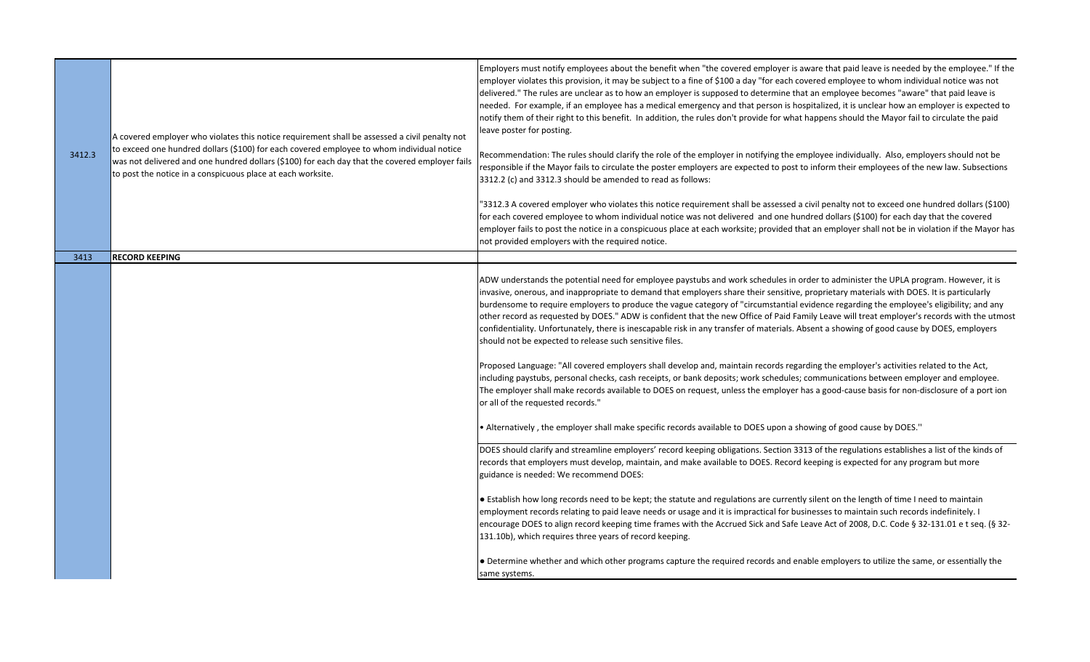| 3412.3 | A covered employer who violates this notice requirement shall be assessed a civil penalty not<br>to exceed one hundred dollars (\$100) for each covered employee to whom individual notice<br>was not delivered and one hundred dollars (\$100) for each day that the covered employer fails<br>to post the notice in a conspicuous place at each worksite. | Employers must notify employees about the benefit when "the covered employer is aware that paid leave is needed by the employee." If the<br>employer violates this provision, it may be subject to a fine of \$100 a day "for each covered employee to whom individual notice was not<br>delivered." The rules are unclear as to how an employer is supposed to determine that an employee becomes "aware" that paid leave is<br>needed. For example, if an employee has a medical emergency and that person is hospitalized, it is unclear how an employer is expected to<br>notify them of their right to this benefit. In addition, the rules don't provide for what happens should the Mayor fail to circulate the paid<br>leave poster for posting.<br>Recommendation: The rules should clarify the role of the employer in notifying the employee individually. Also, employers should not be<br>responsible if the Mayor fails to circulate the poster employers are expected to post to inform their employees of the new law. Subsections<br>3312.2 (c) and 3312.3 should be amended to read as follows:<br>'3312.3 A covered employer who violates this notice requirement shall be assessed a civil penalty not to exceed one hundred dollars (\$100)<br>for each covered employee to whom individual notice was not delivered and one hundred dollars (\$100) for each day that the covered<br>employer fails to post the notice in a conspicuous place at each worksite; provided that an employer shall not be in violation if the Mayor has<br>not provided employers with the required notice. |
|--------|-------------------------------------------------------------------------------------------------------------------------------------------------------------------------------------------------------------------------------------------------------------------------------------------------------------------------------------------------------------|----------------------------------------------------------------------------------------------------------------------------------------------------------------------------------------------------------------------------------------------------------------------------------------------------------------------------------------------------------------------------------------------------------------------------------------------------------------------------------------------------------------------------------------------------------------------------------------------------------------------------------------------------------------------------------------------------------------------------------------------------------------------------------------------------------------------------------------------------------------------------------------------------------------------------------------------------------------------------------------------------------------------------------------------------------------------------------------------------------------------------------------------------------------------------------------------------------------------------------------------------------------------------------------------------------------------------------------------------------------------------------------------------------------------------------------------------------------------------------------------------------------------------------------------------------------------------------------------------------------|
| 3413   | <b>RECORD KEEPING</b>                                                                                                                                                                                                                                                                                                                                       |                                                                                                                                                                                                                                                                                                                                                                                                                                                                                                                                                                                                                                                                                                                                                                                                                                                                                                                                                                                                                                                                                                                                                                                                                                                                                                                                                                                                                                                                                                                                                                                                                |
|        |                                                                                                                                                                                                                                                                                                                                                             | ADW understands the potential need for employee paystubs and work schedules in order to administer the UPLA program. However, it is<br>invasive, onerous, and inappropriate to demand that employers share their sensitive, proprietary materials with DOES. It is particularly<br>burdensome to require employers to produce the vague category of "circumstantial evidence regarding the employee's eligibility; and any<br>other record as requested by DOES." ADW is confident that the new Office of Paid Family Leave will treat employer's records with the utmost<br>confidentiality. Unfortunately, there is inescapable risk in any transfer of materials. Absent a showing of good cause by DOES, employers<br>should not be expected to release such sensitive files.<br>Proposed Language: "All covered employers shall develop and, maintain records regarding the employer's activities related to the Act,<br>including paystubs, personal checks, cash receipts, or bank deposits; work schedules; communications between employer and employee.<br>The employer shall make records available to DOES on request, unless the employer has a good-cause basis for non-disclosure of a port ion<br>or all of the requested records."<br>• Alternatively, the employer shall make specific records available to DOES upon a showing of good cause by DOES."                                                                                                                                                                                                                                      |
|        |                                                                                                                                                                                                                                                                                                                                                             | DOES should clarify and streamline employers' record keeping obligations. Section 3313 of the regulations establishes a list of the kinds of<br>records that employers must develop, maintain, and make available to DOES. Record keeping is expected for any program but more<br>guidance is needed: We recommend DOES:<br>• Establish how long records need to be kept; the statute and regulations are currently silent on the length of time I need to maintain<br>employment records relating to paid leave needs or usage and it is impractical for businesses to maintain such records indefinitely. I<br>lencourage DOES to align record keeping time frames with the Accrued Sick and Safe Leave Act of 2008, D.C. Code § 32-131.01 e t seq. (§ 32-<br>131.10b), which requires three years of record keeping.<br>• Determine whether and which other programs capture the required records and enable employers to utilize the same, or essentially the<br>same systems.                                                                                                                                                                                                                                                                                                                                                                                                                                                                                                                                                                                                                             |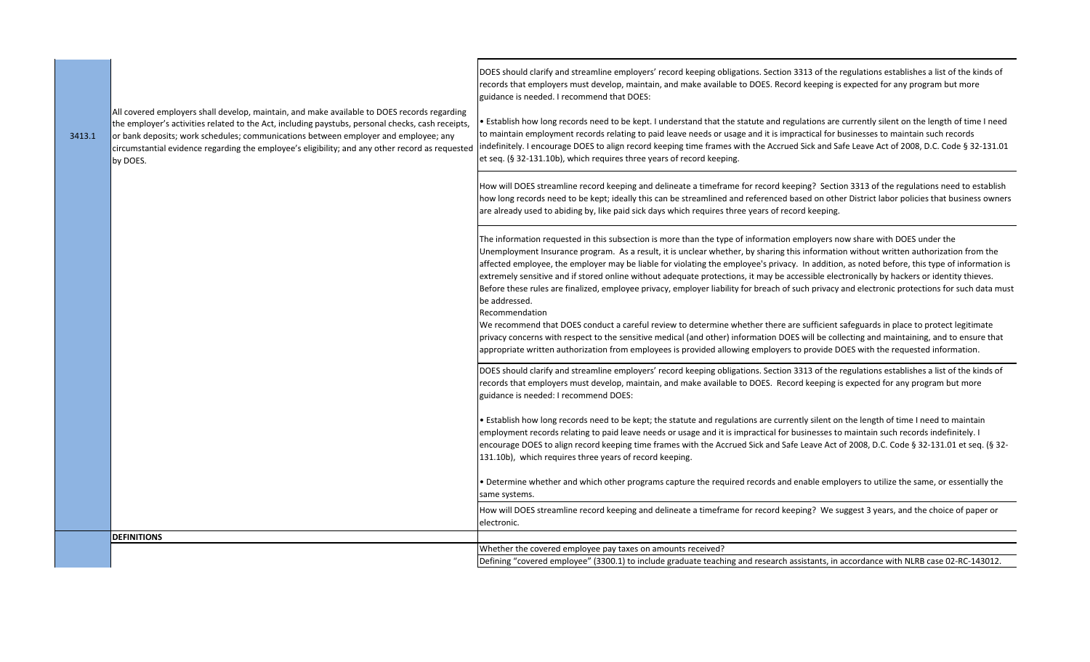|        |                                                                                                                                                                                                                                                                                                                                                                                                        | DOES should clarify and streamline employers' record keeping obligations. Section 3313 of the regulations establishes a list of the kinds of<br>records that employers must develop, maintain, and make available to DOES. Record keeping is expected for any program but more<br>guidance is needed. I recommend that DOES:                                                                                                                                                                                                                                                                                                                                                                                                                                                                                                                                                                    |
|--------|--------------------------------------------------------------------------------------------------------------------------------------------------------------------------------------------------------------------------------------------------------------------------------------------------------------------------------------------------------------------------------------------------------|-------------------------------------------------------------------------------------------------------------------------------------------------------------------------------------------------------------------------------------------------------------------------------------------------------------------------------------------------------------------------------------------------------------------------------------------------------------------------------------------------------------------------------------------------------------------------------------------------------------------------------------------------------------------------------------------------------------------------------------------------------------------------------------------------------------------------------------------------------------------------------------------------|
| 3413.1 | All covered employers shall develop, maintain, and make available to DOES records regarding<br>the employer's activities related to the Act, including paystubs, personal checks, cash receipts,<br>or bank deposits; work schedules; communications between employer and employee; any<br>circumstantial evidence regarding the employee's eligibility; and any other record as requested<br>by DOES. | • Establish how long records need to be kept. I understand that the statute and regulations are currently silent on the length of time I need<br>to maintain employment records relating to paid leave needs or usage and it is impractical for businesses to maintain such records<br>indefinitely. I encourage DOES to align record keeping time frames with the Accrued Sick and Safe Leave Act of 2008, D.C. Code § 32-131.01<br>et seq. (§ 32-131.10b), which requires three years of record keeping.                                                                                                                                                                                                                                                                                                                                                                                      |
|        |                                                                                                                                                                                                                                                                                                                                                                                                        | How will DOES streamline record keeping and delineate a timeframe for record keeping? Section 3313 of the regulations need to establish<br>how long records need to be kept; ideally this can be streamlined and referenced based on other District labor policies that business owners<br>are already used to abiding by, like paid sick days which requires three years of record keeping.                                                                                                                                                                                                                                                                                                                                                                                                                                                                                                    |
|        |                                                                                                                                                                                                                                                                                                                                                                                                        | The information requested in this subsection is more than the type of information employers now share with DOES under the<br>Unemployment Insurance program. As a result, it is unclear whether, by sharing this information without written authorization from the<br>affected employee, the employer may be liable for violating the employee's privacy. In addition, as noted before, this type of information is<br>extremely sensitive and if stored online without adequate protections, it may be accessible electronically by hackers or identity thieves.<br>Before these rules are finalized, employee privacy, employer liability for breach of such privacy and electronic protections for such data must<br>be addressed.<br>Recommendation<br>We recommend that DOES conduct a careful review to determine whether there are sufficient safeguards in place to protect legitimate |
|        |                                                                                                                                                                                                                                                                                                                                                                                                        | privacy concerns with respect to the sensitive medical (and other) information DOES will be collecting and maintaining, and to ensure that<br>appropriate written authorization from employees is provided allowing employers to provide DOES with the requested information.                                                                                                                                                                                                                                                                                                                                                                                                                                                                                                                                                                                                                   |
|        |                                                                                                                                                                                                                                                                                                                                                                                                        | DOES should clarify and streamline employers' record keeping obligations. Section 3313 of the regulations establishes a list of the kinds of<br>records that employers must develop, maintain, and make available to DOES. Record keeping is expected for any program but more<br>guidance is needed: I recommend DOES:                                                                                                                                                                                                                                                                                                                                                                                                                                                                                                                                                                         |
|        |                                                                                                                                                                                                                                                                                                                                                                                                        | • Establish how long records need to be kept; the statute and regulations are currently silent on the length of time I need to maintain<br>employment records relating to paid leave needs or usage and it is impractical for businesses to maintain such records indefinitely. I<br>encourage DOES to align record keeping time frames with the Accrued Sick and Safe Leave Act of 2008, D.C. Code § 32-131.01 et seq. (§ 32-<br>131.10b), which requires three years of record keeping.                                                                                                                                                                                                                                                                                                                                                                                                       |
|        |                                                                                                                                                                                                                                                                                                                                                                                                        | • Determine whether and which other programs capture the required records and enable employers to utilize the same, or essentially the<br>same systems.                                                                                                                                                                                                                                                                                                                                                                                                                                                                                                                                                                                                                                                                                                                                         |
|        |                                                                                                                                                                                                                                                                                                                                                                                                        | How will DOES streamline record keeping and delineate a timeframe for record keeping? We suggest 3 years, and the choice of paper or<br>electronic.                                                                                                                                                                                                                                                                                                                                                                                                                                                                                                                                                                                                                                                                                                                                             |
|        | <b>DEFINITIONS</b>                                                                                                                                                                                                                                                                                                                                                                                     |                                                                                                                                                                                                                                                                                                                                                                                                                                                                                                                                                                                                                                                                                                                                                                                                                                                                                                 |
|        |                                                                                                                                                                                                                                                                                                                                                                                                        | Whether the covered employee pay taxes on amounts received?                                                                                                                                                                                                                                                                                                                                                                                                                                                                                                                                                                                                                                                                                                                                                                                                                                     |
|        |                                                                                                                                                                                                                                                                                                                                                                                                        | Defining "covered employee" (3300.1) to include graduate teaching and research assistants, in accordance with NLRB case 02-RC-143012.                                                                                                                                                                                                                                                                                                                                                                                                                                                                                                                                                                                                                                                                                                                                                           |
|        |                                                                                                                                                                                                                                                                                                                                                                                                        |                                                                                                                                                                                                                                                                                                                                                                                                                                                                                                                                                                                                                                                                                                                                                                                                                                                                                                 |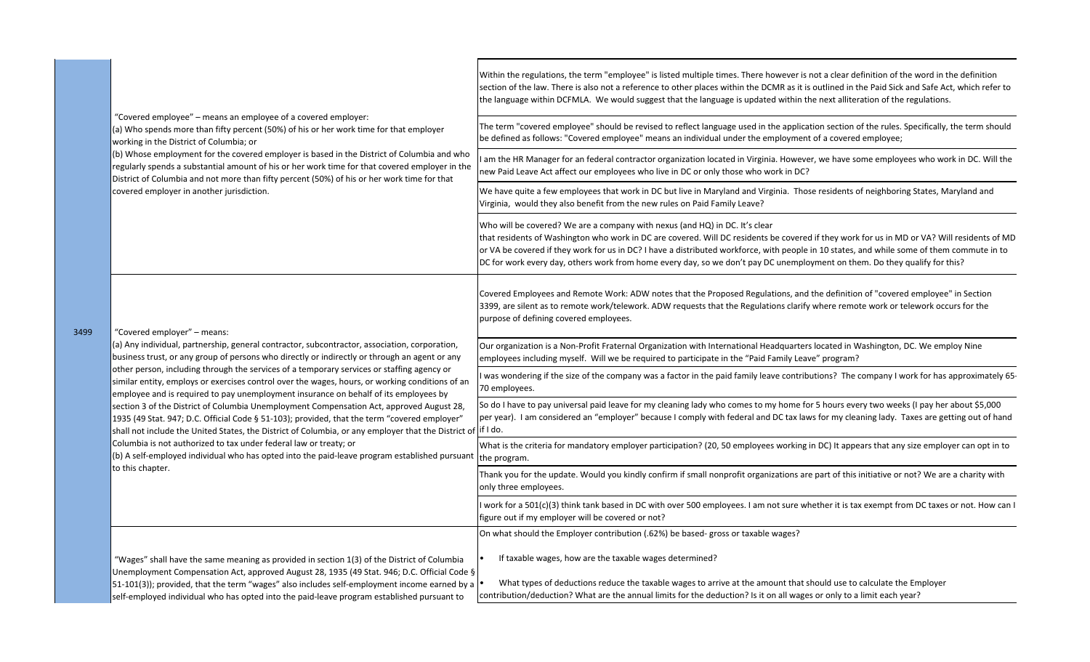| 3499 | "Covered employee" – means an employee of a covered employer:<br>(a) Who spends more than fifty percent (50%) of his or her work time for that employer<br>working in the District of Columbia; or<br>(b) Whose employment for the covered employer is based in the District of Columbia and who<br>regularly spends a substantial amount of his or her work time for that covered employer in the<br>District of Columbia and not more than fifty percent (50%) of his or her work time for that<br>covered employer in another jurisdiction.                                                                                                                                                                                                                                                                                                                                                                                                                                                                               | Within the regulations, the term "employee" is listed multiple times. There however is not a clear definition of the word in the definition<br>section of the law. There is also not a reference to other places within the DCMR as it is outlined in the Paid Sick and Safe Act, which refer to<br>the language within DCFMLA. We would suggest that the language is updated within the next alliteration of the regulations.                                                                         |
|------|------------------------------------------------------------------------------------------------------------------------------------------------------------------------------------------------------------------------------------------------------------------------------------------------------------------------------------------------------------------------------------------------------------------------------------------------------------------------------------------------------------------------------------------------------------------------------------------------------------------------------------------------------------------------------------------------------------------------------------------------------------------------------------------------------------------------------------------------------------------------------------------------------------------------------------------------------------------------------------------------------------------------------|--------------------------------------------------------------------------------------------------------------------------------------------------------------------------------------------------------------------------------------------------------------------------------------------------------------------------------------------------------------------------------------------------------------------------------------------------------------------------------------------------------|
|      |                                                                                                                                                                                                                                                                                                                                                                                                                                                                                                                                                                                                                                                                                                                                                                                                                                                                                                                                                                                                                              | The term "covered employee" should be revised to reflect language used in the application section of the rules. Specifically, the term should<br>be defined as follows: "Covered employee" means an individual under the employment of a covered employee;                                                                                                                                                                                                                                             |
|      |                                                                                                                                                                                                                                                                                                                                                                                                                                                                                                                                                                                                                                                                                                                                                                                                                                                                                                                                                                                                                              | am the HR Manager for an federal contractor organization located in Virginia. However, we have some employees who work in DC. Will the<br>new Paid Leave Act affect our employees who live in DC or only those who work in DC?                                                                                                                                                                                                                                                                         |
|      |                                                                                                                                                                                                                                                                                                                                                                                                                                                                                                                                                                                                                                                                                                                                                                                                                                                                                                                                                                                                                              | We have quite a few employees that work in DC but live in Maryland and Virginia. Those residents of neighboring States, Maryland and<br>Virginia, would they also benefit from the new rules on Paid Family Leave?                                                                                                                                                                                                                                                                                     |
|      |                                                                                                                                                                                                                                                                                                                                                                                                                                                                                                                                                                                                                                                                                                                                                                                                                                                                                                                                                                                                                              | Who will be covered? We are a company with nexus (and HQ) in DC. It's clear<br>that residents of Washington who work in DC are covered. Will DC residents be covered if they work for us in MD or VA? Will residents of MD<br>or VA be covered if they work for us in DC? I have a distributed workforce, with people in 10 states, and while some of them commute in to<br>DC for work every day, others work from home every day, so we don't pay DC unemployment on them. Do they qualify for this? |
|      | "Covered employer" – means:<br>(a) Any individual, partnership, general contractor, subcontractor, association, corporation,<br>business trust, or any group of persons who directly or indirectly or through an agent or any<br>other person, including through the services of a temporary services or staffing agency or<br>similar entity, employs or exercises control over the wages, hours, or working conditions of an<br>employee and is required to pay unemployment insurance on behalf of its employees by<br>section 3 of the District of Columbia Unemployment Compensation Act, approved August 28,<br>1935 (49 Stat. 947; D.C. Official Code § 51-103); provided, that the term "covered employer"<br>shall not include the United States, the District of Columbia, or any employer that the District of if I do.<br>Columbia is not authorized to tax under federal law or treaty; or<br>(b) A self-employed individual who has opted into the paid-leave program established pursuant<br>to this chapter. | Covered Employees and Remote Work: ADW notes that the Proposed Regulations, and the definition of "covered employee" in Section<br>3399, are silent as to remote work/telework. ADW requests that the Regulations clarify where remote work or telework occurs for the<br>purpose of defining covered employees.                                                                                                                                                                                       |
|      |                                                                                                                                                                                                                                                                                                                                                                                                                                                                                                                                                                                                                                                                                                                                                                                                                                                                                                                                                                                                                              | Our organization is a Non-Profit Fraternal Organization with International Headquarters located in Washington, DC. We employ Nine<br>employees including myself. Will we be required to participate in the "Paid Family Leave" program?                                                                                                                                                                                                                                                                |
|      |                                                                                                                                                                                                                                                                                                                                                                                                                                                                                                                                                                                                                                                                                                                                                                                                                                                                                                                                                                                                                              | was wondering if the size of the company was a factor in the paid family leave contributions? The company I work for has approximately 65-<br>70 employees.                                                                                                                                                                                                                                                                                                                                            |
|      |                                                                                                                                                                                                                                                                                                                                                                                                                                                                                                                                                                                                                                                                                                                                                                                                                                                                                                                                                                                                                              | So do I have to pay universal paid leave for my cleaning lady who comes to my home for 5 hours every two weeks (I pay her about \$5,000<br>per year). I am considered an "employer" because I comply with federal and DC tax laws for my cleaning lady. Taxes are getting out of hand                                                                                                                                                                                                                  |
|      |                                                                                                                                                                                                                                                                                                                                                                                                                                                                                                                                                                                                                                                                                                                                                                                                                                                                                                                                                                                                                              | What is the criteria for mandatory employer participation? (20, 50 employees working in DC) It appears that any size employer can opt in to<br>the program.                                                                                                                                                                                                                                                                                                                                            |
|      |                                                                                                                                                                                                                                                                                                                                                                                                                                                                                                                                                                                                                                                                                                                                                                                                                                                                                                                                                                                                                              | Thank you for the update. Would you kindly confirm if small nonprofit organizations are part of this initiative or not? We are a charity with<br>only three employees.                                                                                                                                                                                                                                                                                                                                 |
|      |                                                                                                                                                                                                                                                                                                                                                                                                                                                                                                                                                                                                                                                                                                                                                                                                                                                                                                                                                                                                                              | work for a 501(c)(3) think tank based in DC with over 500 employees. I am not sure whether it is tax exempt from DC taxes or not. How can I<br>figure out if my employer will be covered or not?                                                                                                                                                                                                                                                                                                       |
|      |                                                                                                                                                                                                                                                                                                                                                                                                                                                                                                                                                                                                                                                                                                                                                                                                                                                                                                                                                                                                                              | On what should the Employer contribution (.62%) be based- gross or taxable wages?                                                                                                                                                                                                                                                                                                                                                                                                                      |
|      | "Wages" shall have the same meaning as provided in section 1(3) of the District of Columbia<br>Unemployment Compensation Act, approved August 28, 1935 (49 Stat. 946; D.C. Official Code §<br>51-101(3)); provided, that the term "wages" also includes self-employment income earned by a<br>self-employed individual who has opted into the paid-leave program established pursuant to                                                                                                                                                                                                                                                                                                                                                                                                                                                                                                                                                                                                                                     | If taxable wages, how are the taxable wages determined?                                                                                                                                                                                                                                                                                                                                                                                                                                                |
|      |                                                                                                                                                                                                                                                                                                                                                                                                                                                                                                                                                                                                                                                                                                                                                                                                                                                                                                                                                                                                                              | What types of deductions reduce the taxable wages to arrive at the amount that should use to calculate the Employer<br>contribution/deduction? What are the annual limits for the deduction? Is it on all wages or only to a limit each year?                                                                                                                                                                                                                                                          |